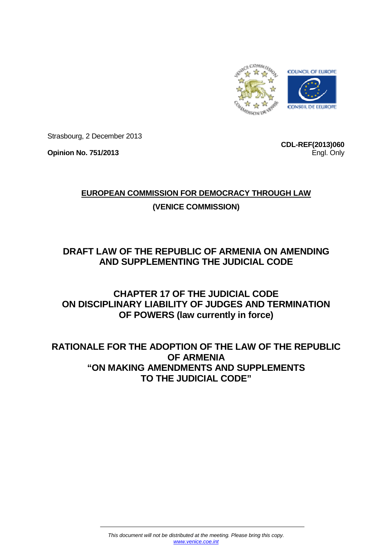

Strasbourg, 2 December 2013

**Opinion No. 751/2013** 

**CDL-REF(2013)060** Engl. Only

# **EUROPEAN COMMISSION FOR DEMOCRACY THROUGH LAW**

# **(VENICE COMMISSION)**

# **DRAFT LAW OF THE REPUBLIC OF ARMENIA ON AMENDING AND SUPPLEMENTING THE JUDICIAL CODE**

# **CHAPTER 17 OF THE JUDICIAL CODE ON DISCIPLINARY LIABILITY OF JUDGES AND TERMINATION OF POWERS (law currently in force)**

# **RATIONALE FOR THE ADOPTION OF THE LAW OF THE REPUBLIC OF ARMENIA "ON MAKING AMENDMENTS AND SUPPLEMENTS TO THE JUDICIAL CODE"**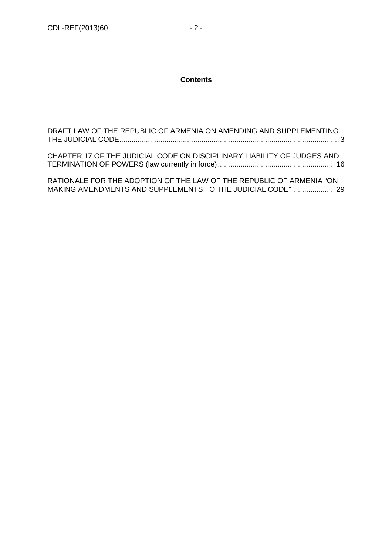### **Contents**

| DRAFT LAW OF THE REPUBLIC OF ARMENIA ON AMENDING AND SUPPLEMENTING      |  |
|-------------------------------------------------------------------------|--|
| CHAPTER 17 OF THE JUDICIAL CODE ON DISCIPLINARY LIABILITY OF JUDGES AND |  |

RATIONALE FOR THE ADOPTION OF THE LAW OF THE REPUBLIC OF ARMENIA "ON MAKING AMENDMENTS AND SUPPLEMENTS TO THE JUDICIAL CODE" ..................... 29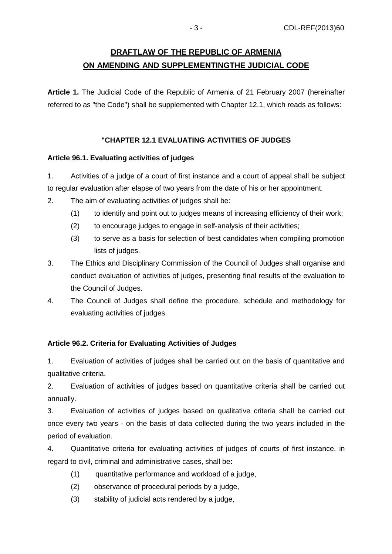# **DRAFTLAW OF THE REPUBLIC OF ARMENIA ON AMENDING AND SUPPLEMENTINGTHE JUDICIAL CODE**

**Article 1.** The Judicial Code of the Republic of Armenia of 21 February 2007 (hereinafter referred to as "the Code") shall be supplemented with Chapter 12.1, which reads as follows:

## **"CHAPTER 12.1 EVALUATING ACTIVITIES OF JUDGES**

### **Article 96.1. Evaluating activities of judges**

1. Activities of a judge of a court of first instance and a court of appeal shall be subject to regular evaluation after elapse of two years from the date of his or her appointment.

- 2. The aim of evaluating activities of judges shall be:
	- (1) to identify and point out to judges means of increasing efficiency of their work;
	- (2) to encourage judges to engage in self-analysis of their activities;
	- (3) to serve as a basis for selection of best candidates when compiling promotion lists of judges.
- 3. The Ethics and Disciplinary Commission of the Council of Judges shall organise and conduct evaluation of activities of judges, presenting final results of the evaluation to the Council of Judges.
- 4. The Council of Judges shall define the procedure, schedule and methodology for evaluating activities of judges.

## **Article 96.2. Criteria for Evaluating Activities of Judges**

1. Evaluation of activities of judges shall be carried out on the basis of quantitative and qualitative criteria.

2. Evaluation of activities of judges based on quantitative criteria shall be carried out annually.

3. Evaluation of activities of judges based on qualitative criteria shall be carried out once every two years - on the basis of data collected during the two years included in the period of evaluation.

4. Quantitative criteria for evaluating activities of judges of courts of first instance, in regard to civil, criminal and administrative cases, shall be։

- (1) quantitative performance and workload of a judge,
- (2) observance of procedural periods by a judge,
- (3) stability of judicial acts rendered by a judge,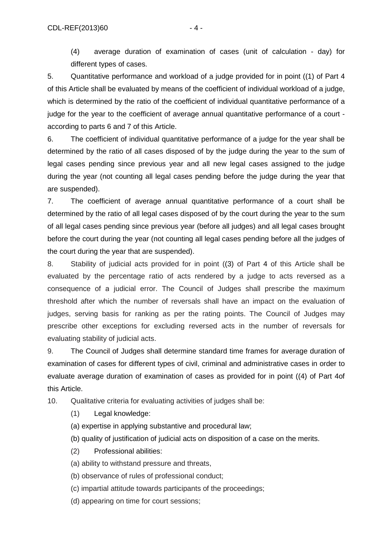(4) average duration of examination of cases (unit of calculation - day) for different types of cases.

5. Quantitative performance and workload of a judge provided for in point ((1) of Part 4 of this Article shall be evaluated by means of the coefficient of individual workload of a judge, which is determined by the ratio of the coefficient of individual quantitative performance of a judge for the year to the coefficient of average annual quantitative performance of a court according to parts 6 and 7 of this Article.

6. The coefficient of individual quantitative performance of a judge for the year shall be determined by the ratio of all cases disposed of by the judge during the year to the sum of legal cases pending since previous year and all new legal cases assigned to the judge during the year (not counting all legal cases pending before the judge during the year that are suspended).

7. The coefficient of average annual quantitative performance of a court shall be determined by the ratio of all legal cases disposed of by the court during the year to the sum of all legal cases pending since previous year (before all judges) and all legal cases brought before the court during the year (not counting all legal cases pending before all the judges of the court during the year that are suspended).

8. Stability of judicial acts provided for in point ((3) of Part 4 of this Article shall be evaluated by the percentage ratio of acts rendered by a judge to acts reversed as a consequence of а judicial error. The Council of Judges shall prescribe the maximum threshold after which the number of reversals shall have an impact on the evaluation of judges, serving basis for ranking as per the rating points. The Council of Judges may prescribe other exceptions for excluding reversed acts in the number of reversals for evaluating stability of judicial acts.

9. The Council of Judges shall determine standard time frames for average duration of examination of cases for different types of civil, criminal and administrative cases in order to evaluate average duration of examination of cases as provided for in point ((4) of Part 4of this Article.

10. Qualitative criteria for evaluating activities of judges shall be:

- (1) Legal knowledge:
- (a) expertise in applying substantive and procedural law;
- (b) quality of justification of judicial acts on disposition of a case on the merits.
- (2) Professional abilities:
- (a) ability to withstand pressure and threats,
- (b) observance of rules of professional conduct;
- (c) impartial attitude towards participants of the proceedings;
- (d) appearing on time for court sessions;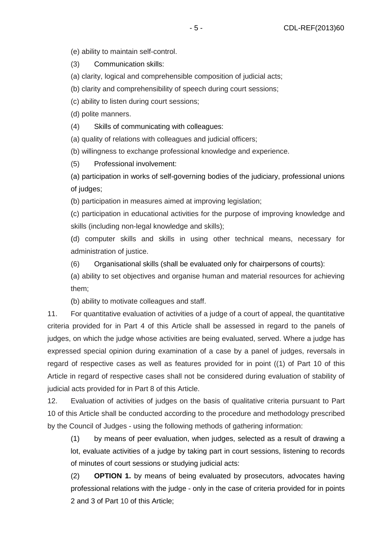(e) ability to maintain self-control.

(3) Communication skills:

(a) clarity, logical and comprehensible composition of judicial acts;

(b) clarity and comprehensibility of speech during court sessions;

(c) ability to listen during court sessions;

(d) polite manners.

(4) Skills of communicating with colleagues:

(a) quality of relations with colleagues and judicial officers;

(b) willingness to exchange professional knowledge and experience.

(5) Professional involvement:

(a) participation in works of self-governing bodies of the judiciary, professional unions of judges;

(b) participation in measures aimed at improving legislation;

(c) participation in educational activities for the purpose of improving knowledge and skills (including non-legal knowledge and skills);

(d) computer skills and skills in using other technical means, necessary for administration of justice.

(6) Organisational skills (shall be evaluated only for chairpersons of courts):

(a) ability to set objectives and organise human and material resources for achieving them;

(b) ability to motivate colleagues and staff.

11. For quantitative evaluation of activities of a judge of a court of appeal, the quantitative criteria provided for in Part 4 of this Article shall be assessed in regard to the panels of judges, on which the judge whose activities are being evaluated, served. Where a judge has expressed special opinion during examination of a case by a panel of judges, reversals in regard of respective cases as well as features provided for in point ((1) of Part 10 of this Article in regard of respective cases shall not be considered during evaluation of stability of judicial acts provided for in Part 8 of this Article.

12. Evaluation of activities of judges on the basis of qualitative criteria pursuant to Part 10 of this Article shall be conducted according to the procedure and methodology prescribed by the Council of Judges - using the following methods of gathering information:

(1) by means of peer evaluation, when judges, selected as a result of drawing a lot, evaluate activities of a judge by taking part in court sessions, listening to records of minutes of court sessions or studying judicial acts:

(2) **OPTION 1.** by means of being evaluated by prosecutors, advocates having professional relations with the judge - only in the case of criteria provided for in points 2 and 3 of Part 10 of this Article;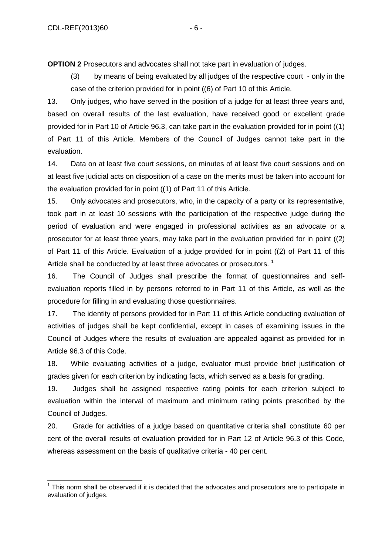**OPTION 2** Prosecutors and advocates shall not take part in evaluation of judges.

(3) by means of being evaluated by all judges of the respective court - only in the case of the criterion provided for in point ((6) of Part 10 of this Article.

13. Only judges, who have served in the position of a judge for at least three years and, based on overall results of the last evaluation, have received good or excellent grade provided for in Part 10 of Article 96.3, can take part in the evaluation provided for in point ((1) of Part 11 of this Article. Members of the Council of Judges cannot take part in the evaluation.

14. Data on at least five court sessions, on minutes of at least five court sessions and on at least five judicial acts on disposition of a case on the merits must be taken into account for the evaluation provided for in point ((1) of Part 11 of this Article.

15. Only advocates and prosecutors, who, in the capacity of a party or its representative, took part in at least 10 sessions with the participation of the respective judge during the period of evaluation and were engaged in professional activities as an advocate or a prosecutor for at least three years, may take part in the evaluation provided for in point ((2) of Part 11 of this Article. Evaluation of a judge provided for in point ((2) of Part 11 of this Article shall be conducted by at least three advocates or prosecutors.<sup>1</sup>

16. The Council of Judges shall prescribe the format of questionnaires and selfevaluation reports filled in by persons referred to in Part 11 of this Article, as well as the procedure for filling in and evaluating those questionnaires.

17. The identity of persons provided for in Part 11 of this Article conducting evaluation of activities of judges shall be kept confidential, except in cases of examining issues in the Council of Judges where the results of evaluation are appealed against as provided for in Article 96.3 of this Code.

18. While evaluating activities of a judge, evaluator must provide brief justification of grades given for each criterion by indicating facts, which served as a basis for grading.

19. Judges shall be assigned respective rating points for each criterion subject to evaluation within the interval of maximum and minimum rating points prescribed by the Council of Judges.

20. Grade for activities of a judge based on quantitative criteria shall constitute 60 per cent of the overall results of evaluation provided for in Part 12 of Article 96.3 of this Code, whereas assessment on the basis of qualitative criteria - 40 per cent.

j  $1$  This norm shall be observed if it is decided that the advocates and prosecutors are to participate in evaluation of judges.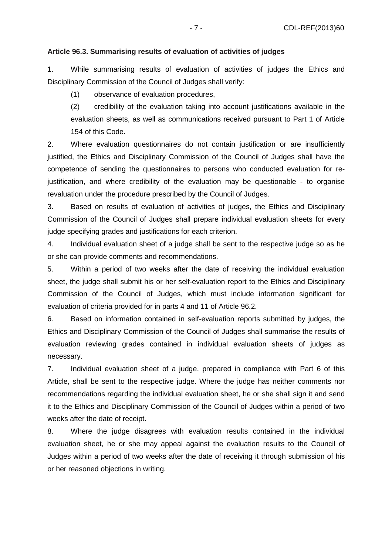#### **Article 96.3. Summarising results of evaluation of activities of judges**

1. While summarising results of evaluation of activities of judges the Ethics and Disciplinary Commission of the Council of Judges shall verify:

(1) observance of evaluation procedures,

(2) credibility of the evaluation taking into account justifications available in the evaluation sheets, as well as communications received pursuant to Part 1 of Article 154 of this Code.

2. Where evaluation questionnaires do not contain justification or are insufficiently justified, the Ethics and Disciplinary Commission of the Council of Judges shall have the competence of sending the questionnaires to persons who conducted evaluation for rejustification, and where credibility of the evaluation may be questionable - to organise revaluation under the procedure prescribed by the Council of Judges.

3. Based on results of evaluation of activities of judges, the Ethics and Disciplinary Commission of the Council of Judges shall prepare individual evaluation sheets for every judge specifying grades and justifications for each criterion.

4. Individual evaluation sheet of a judge shall be sent to the respective judge so as he or she can provide comments and recommendations.

5. Within a period of two weeks after the date of receiving the individual evaluation sheet, the judge shall submit his or her self-evaluation report to the Ethics and Disciplinary Commission of the Council of Judges, which must include information significant for evaluation of criteria provided for in parts 4 and 11 of Article 96.2.

6. Based on information contained in self-evaluation reports submitted by judges, the Ethics and Disciplinary Commission of the Council of Judges shall summarise the results of evaluation reviewing grades contained in individual evaluation sheets of judges as necessary.

7. Individual evaluation sheet of a judge, prepared in compliance with Part 6 of this Article, shall be sent to the respective judge. Where the judge has neither comments nor recommendations regarding the individual evaluation sheet, he or she shall sign it and send it to the Ethics and Disciplinary Commission of the Council of Judges within a period of two weeks after the date of receipt.

8. Where the judge disagrees with evaluation results contained in the individual evaluation sheet, he or she may appeal against the evaluation results to the Council of Judges within a period of two weeks after the date of receiving it through submission of his or her reasoned objections in writing.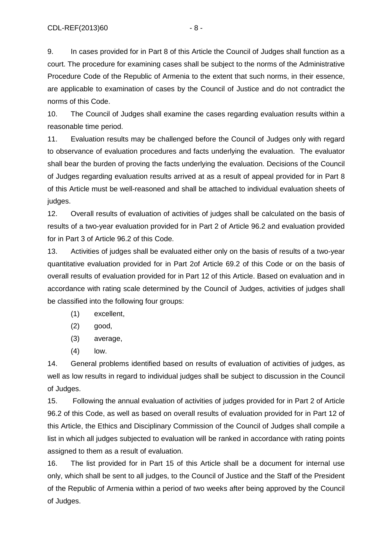9. In cases provided for in Part 8 of this Article the Council of Judges shall function as a court. The procedure for examining cases shall be subject to the norms of the Administrative Procedure Code of the Republic of Armenia to the extent that such norms, in their essence, are applicable to examination of cases by the Council of Justice and do not contradict the norms of this Code.

10. The Council of Judges shall examine the cases regarding evaluation results within a reasonable time period.

11. Evaluation results may be challenged before the Council of Judges only with regard to observance of evaluation procedures and facts underlying the evaluation. The evaluator shall bear the burden of proving the facts underlying the evaluation. Decisions of the Council of Judges regarding evaluation results arrived at as a result of appeal provided for in Part 8 of this Article must be well-reasoned and shall be attached to individual evaluation sheets of judges.

12. Overall results of evaluation of activities of judges shall be calculated on the basis of results of a two-year evaluation provided for in Part 2 of Article 96.2 and evaluation provided for in Part 3 of Article 96.2 of this Code.

13. Activities of judges shall be evaluated either only on the basis of results of a two-year quantitative evaluation provided for in Part 2of Article 69.2 of this Code or on the basis of overall results of evaluation provided for in Part 12 of this Article. Based on evaluation and in accordance with rating scale determined by the Council of Judges, activities of judges shall be classified into the following four groups:

- (1) excellent,
- (2) good,
- (3) average,
- (4) low.

14. General problems identified based on results of evaluation of activities of judges, as well as low results in regard to individual judges shall be subject to discussion in the Council of Judges.

15. Following the annual evaluation of activities of judges provided for in Part 2 of Article 96.2 of this Code, as well as based on overall results of evaluation provided for in Part 12 of this Article, the Ethics and Disciplinary Commission of the Council of Judges shall compile a list in which all judges subjected to evaluation will be ranked in accordance with rating points assigned to them as a result of evaluation.

16. The list provided for in Part 15 of this Article shall be a document for internal use only, which shall be sent to all judges, to the Council of Justice and the Staff of the President of the Republic of Armenia within a period of two weeks after being approved by the Council of Judges.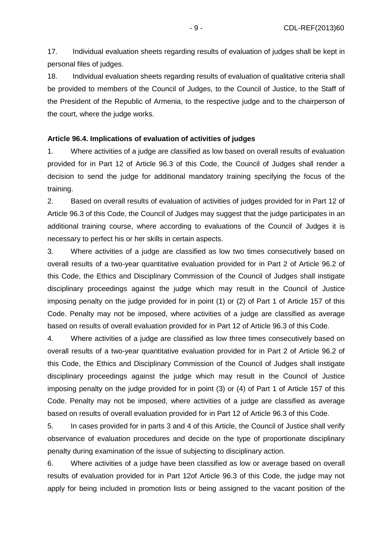17. Individual evaluation sheets regarding results of evaluation of judges shall be kept in personal files of judges.

18. Individual evaluation sheets regarding results of evaluation of qualitative criteria shall be provided to members of the Council of Judges, to the Council of Justice, to the Staff of the President of the Republic of Armenia, to the respective judge and to the chairperson of the court, where the judge works.

#### **Article 96.4. Implications of evaluation of activities of judges**

1. Where activities of a judge are classified as low based on overall results of evaluation provided for in Part 12 of Article 96.3 of this Code, the Council of Judges shall render a decision to send the judge for additional mandatory training specifying the focus of the training.

2. Based on overall results of evaluation of activities of judges provided for in Part 12 of Article 96.3 of this Code, the Council of Judges may suggest that the judge participates in an additional training course, where according to evaluations of the Council of Judges it is necessary to perfect his or her skills in certain aspects.

3. Where activities of a judge are classified as low two times consecutively based on overall results of a two-year quantitative evaluation provided for in Part 2 of Article 96.2 of this Code, the Ethics and Disciplinary Commission of the Council of Judges shall instigate disciplinary proceedings against the judge which may result in the Council of Justice imposing penalty on the judge provided for in point (1) or (2) of Part 1 of Article 157 of this Code. Penalty may not be imposed, where activities of a judge are classified as average based on results of overall evaluation provided for in Part 12 of Article 96.3 of this Code.

4. Where activities of a judge are classified as low three times consecutively based on overall results of a two-year quantitative evaluation provided for in Part 2 of Article 96.2 of this Code, the Ethics and Disciplinary Commission of the Council of Judges shall instigate disciplinary proceedings against the judge which may result in the Council of Justice imposing penalty on the judge provided for in point (3) or (4) of Part 1 of Article 157 of this Code. Penalty may not be imposed, where activities of a judge are classified as average based on results of overall evaluation provided for in Part 12 of Article 96.3 of this Code.

5. In cases provided for in parts 3 and 4 of this Article, the Council of Justice shall verify observance of evaluation procedures and decide on the type of proportionate disciplinary penalty during examination of the issue of subjecting to disciplinary action.

6. Where activities of a judge have been classified as low or average based on overall results of evaluation provided for in Part 12of Article 96.3 of this Code, the judge may not apply for being included in promotion lists or being assigned to the vacant position of the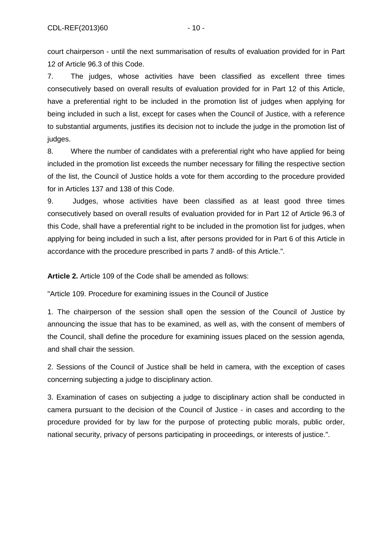court chairperson - until the next summarisation of results of evaluation provided for in Part 12 of Article 96.3 of this Code.

7. The judges, whose activities have been classified as excellent three times consecutively based on overall results of evaluation provided for in Part 12 of this Article, have a preferential right to be included in the promotion list of judges when applying for being included in such a list, except for cases when the Council of Justice, with a reference to substantial arguments, justifies its decision not to include the judge in the promotion list of judges.

8. Where the number of candidates with a preferential right who have applied for being included in the promotion list exceeds the number necessary for filling the respective section of the list, the Council of Justice holds a vote for them according to the procedure provided for in Articles 137 and 138 of this Code.

9. Judges, whose activities have been classified as at least good three times consecutively based on overall results of evaluation provided for in Part 12 of Article 96.3 of this Code, shall have a preferential right to be included in the promotion list for judges, when applying for being included in such a list, after persons provided for in Part 6 of this Article in accordance with the procedure prescribed in parts 7 and8- of this Article.".

**Article 2.** Article 109 of the Code shall be amended as follows:

"Article 109. Procedure for examining issues in the Council of Justice

1. The chairperson of the session shall open the session of the Council of Justice by announcing the issue that has to be examined, as well as, with the consent of members of the Council, shall define the procedure for examining issues placed on the session agenda, and shall chair the session.

2. Sessions of the Council of Justice shall be held in camera, with the exception of cases concerning subjecting a judge to disciplinary action.

3. Examination of cases on subjecting a judge to disciplinary action shall be conducted in camera pursuant to the decision of the Council of Justice - in cases and according to the procedure provided for by law for the purpose of protecting public morals, public order, national security, privacy of persons participating in proceedings, or interests of justice.".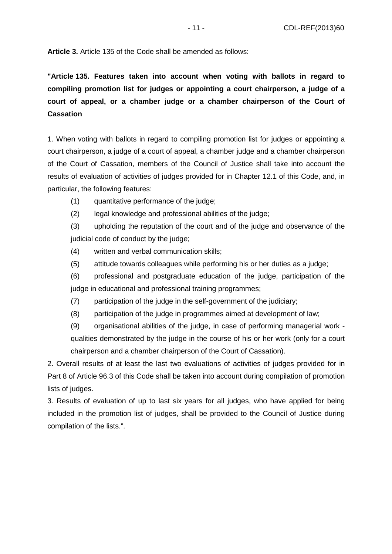**Article 3.** Article 135 of the Code shall be amended as follows:

**"Article 135. Features taken into account when voting with ballots in regard to compiling promotion list for judges or appointing a court chairperson, a judge of a court of appeal, or a chamber judge or a chamber chairperson of the Court of Cassation** 

1. When voting with ballots in regard to compiling promotion list for judges or appointing a court chairperson, a judge of a court of appeal, a chamber judge and a chamber chairperson of the Court of Cassation, members of the Council of Justice shall take into account the results of evaluation of activities of judges provided for in Chapter 12.1 of this Code, and, in particular, the following features:

- (1) quantitative performance of the judge;
- (2) legal knowledge and professional abilities of the judge;

(3) upholding the reputation of the court and of the judge and observance of the judicial code of conduct by the judge;

- (4) written and verbal communication skills;
- (5) attitude towards colleagues while performing his or her duties as a judge;
- (6) professional and postgraduate education of the judge, participation of the judge in educational and professional training programmes;
- (7) participation of the judge in the self-government of the judiciary;
- (8) participation of the judge in programmes aimed at development of law;

(9) organisational abilities of the judge, in case of performing managerial work qualities demonstrated by the judge in the course of his or her work (only for a court chairperson and a chamber chairperson of the Court of Cassation).

2. Overall results of at least the last two evaluations of activities of judges provided for in Part 8 of Article 96.3 of this Code shall be taken into account during compilation of promotion lists of judges.

3. Results of evaluation of up to last six years for all judges, who have applied for being included in the promotion list of judges, shall be provided to the Council of Justice during compilation of the lists.".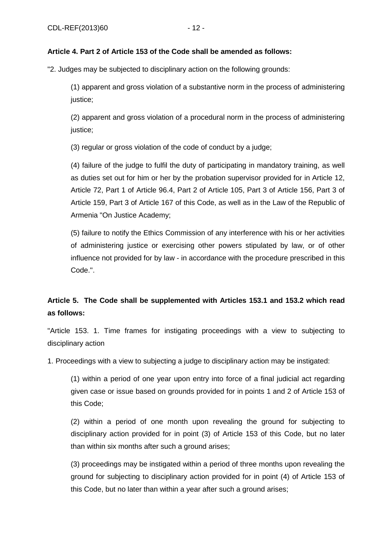### **Article 4. Part 2 of Article 153 of the Code shall be amended as follows:**

"2. Judges may be subjected to disciplinary action on the following grounds:

(1) apparent and gross violation of a substantive norm in the process of administering justice;

(2) apparent and gross violation of a procedural norm in the process of administering justice;

(3) regular or gross violation of the code of conduct by a judge;

(4) failure of the judge to fulfil the duty of participating in mandatory training, as well as duties set out for him or her by the probation supervisor provided for in Article 12, Article 72, Part 1 of Article 96.4, Part 2 of Article 105, Part 3 of Article 156, Part 3 of Article 159, Part 3 of Article 167 of this Code, as well as in the Law of the Republic of Armenia "On Justice Academy;

(5) failure to notify the Ethics Commission of any interference with his or her activities of administering justice or exercising other powers stipulated by law, or of other influence not provided for by law - in accordance with the procedure prescribed in this Code.".

# **Article 5. The Code shall be supplemented with Articles 153.1 and 153.2 which read as follows:**

"Article 153. 1. Time frames for instigating proceedings with a view to subjecting to disciplinary action

1. Proceedings with a view to subjecting a judge to disciplinary action may be instigated:

(1) within a period of one year upon entry into force of a final judicial act regarding given case or issue based on grounds provided for in points 1 and 2 of Article 153 of this Code;

(2) within a period of one month upon revealing the ground for subjecting to disciplinary action provided for in point (3) of Article 153 of this Code, but no later than within six months after such a ground arises;

(3) proceedings may be instigated within a period of three months upon revealing the ground for subjecting to disciplinary action provided for in point (4) of Article 153 of this Code, but no later than within a year after such a ground arises;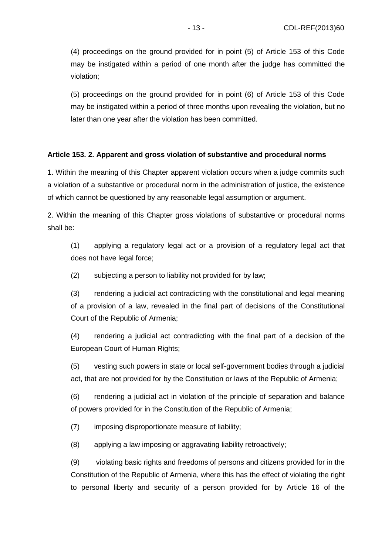(4) proceedings on the ground provided for in point (5) of Article 153 of this Code may be instigated within a period of one month after the judge has committed the violation;

(5) proceedings on the ground provided for in point (6) of Article 153 of this Code may be instigated within a period of three months upon revealing the violation, but no later than one year after the violation has been committed.

#### **Article 153. 2. Apparent and gross violation of substantive and procedural norms**

1. Within the meaning of this Chapter apparent violation occurs when a judge commits such a violation of a substantive or procedural norm in the administration of justice, the existence of which cannot be questioned by any reasonable legal assumption or argument.

2. Within the meaning of this Chapter gross violations of substantive or procedural norms shall be:

(1) applying a regulatory legal act or a provision of a regulatory legal act that does not have legal force;

(2) subjecting a person to liability not provided for by law;

(3) rendering a judicial act contradicting with the constitutional and legal meaning of a provision of a law, revealed in the final part of decisions of the Constitutional Court of the Republic of Armenia;

(4) rendering a judicial act contradicting with the final part of a decision of the European Court of Human Rights;

(5) vesting such powers in state or local self-government bodies through a judicial act, that are not provided for by the Constitution or laws of the Republic of Armenia;

(6) rendering a judicial act in violation of the principle of separation and balance of powers provided for in the Constitution of the Republic of Armenia;

(7) imposing disproportionate measure of liability;

(8) applying a law imposing or aggravating liability retroactively;

(9) violating basic rights and freedoms of persons and citizens provided for in the Constitution of the Republic of Armenia, where this has the effect of violating the right to personal liberty and security of a person provided for by Article 16 of the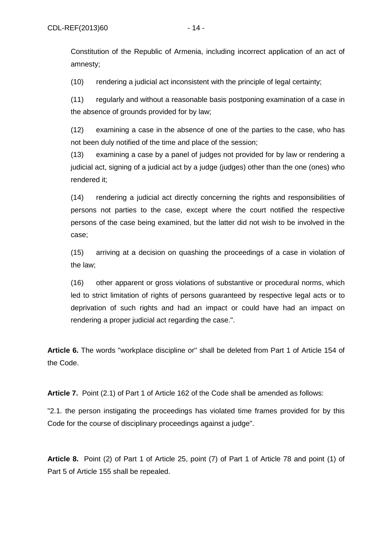Constitution of the Republic of Armenia, including incorrect application of an act of amnesty;

(10) rendering a judicial act inconsistent with the principle of legal certainty;

(11) regularly and without a reasonable basis postponing examination of a case in the absence of grounds provided for by law;

(12) examining a case in the absence of one of the parties to the case, who has not been duly notified of the time and place of the session;

(13) examining a case by a panel of judges not provided for by law or rendering a judicial act, signing of a judicial act by a judge (judges) other than the one (ones) who rendered it;

(14) rendering a judicial act directly concerning the rights and responsibilities of persons not parties to the case, except where the court notified the respective persons of the case being examined, but the latter did not wish to be involved in the case;

(15) arriving at a decision on quashing the proceedings of a case in violation of the law;

(16) other apparent or gross violations of substantive or procedural norms, which led to strict limitation of rights of persons guaranteed by respective legal acts or to deprivation of such rights and had an impact or could have had an impact on rendering a proper judicial act regarding the case.".

**Article 6.** The words "workplace discipline or" shall be deleted from Part 1 of Article 154 of the Code.

**Article 7.** Point (2.1) of Part 1 of Article 162 of the Code shall be amended as follows:

"2.1. the person instigating the proceedings has violated time frames provided for by this Code for the course of disciplinary proceedings against a judge".

**Article 8.** Point (2) of Part 1 of Article 25, point (7) of Part 1 of Article 78 and point (1) of Part 5 of Article 155 shall be repealed.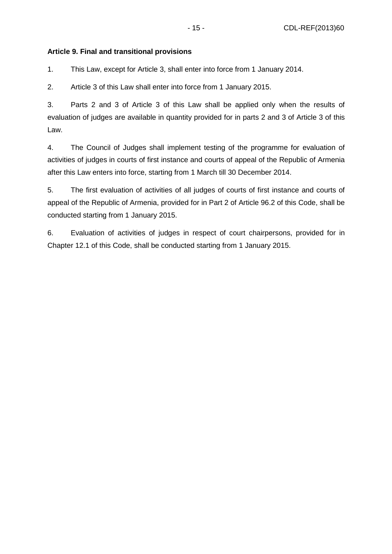### **Article 9. Final and transitional provisions**

1. This Law, except for Article 3, shall enter into force from 1 January 2014.

2. Article 3 of this Law shall enter into force from 1 January 2015.

3. Parts 2 and 3 of Article 3 of this Law shall be applied only when the results of evaluation of judges are available in quantity provided for in parts 2 and 3 of Article 3 of this Law.

4. The Council of Judges shall implement testing of the programme for evaluation of activities of judges in courts of first instance and courts of appeal of the Republic of Armenia after this Law enters into force, starting from 1 March till 30 December 2014.

5. The first evaluation of activities of all judges of courts of first instance and courts of appeal of the Republic of Armenia, provided for in Part 2 of Article 96.2 of this Code, shall be conducted starting from 1 January 2015.

6. Evaluation of activities of judges in respect of court chairpersons, provided for in Chapter 12.1 of this Code, shall be conducted starting from 1 January 2015.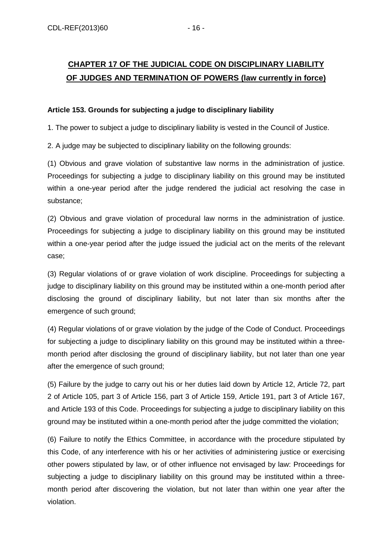# **CHAPTER 17 OF THE JUDICIAL CODE ON DISCIPLINARY LIABILITY OF JUDGES AND TERMINATION OF POWERS (law currently in force)**

### **Article 153. Grounds for subjecting a judge to disciplinary liability**

1. The power to subject a judge to disciplinary liability is vested in the Council of Justice.

2. A judge may be subjected to disciplinary liability on the following grounds:

(1) Obvious and grave violation of substantive law norms in the administration of justice. Proceedings for subjecting a judge to disciplinary liability on this ground may be instituted within a one-year period after the judge rendered the judicial act resolving the case in substance;

(2) Obvious and grave violation of procedural law norms in the administration of justice. Proceedings for subjecting a judge to disciplinary liability on this ground may be instituted within a one-year period after the judge issued the judicial act on the merits of the relevant case;

(3) Regular violations of or grave violation of work discipline. Proceedings for subjecting a judge to disciplinary liability on this ground may be instituted within a one-month period after disclosing the ground of disciplinary liability, but not later than six months after the emergence of such ground;

(4) Regular violations of or grave violation by the judge of the Code of Conduct. Proceedings for subjecting a judge to disciplinary liability on this ground may be instituted within a threemonth period after disclosing the ground of disciplinary liability, but not later than one year after the emergence of such ground;

(5) Failure by the judge to carry out his or her duties laid down by Article 12, Article 72, part 2 of Article 105, part 3 of Article 156, part 3 of Article 159, Article 191, part 3 of Article 167, and Article 193 of this Code. Proceedings for subjecting a judge to disciplinary liability on this ground may be instituted within a one-month period after the judge committed the violation;

(6) Failure to notify the Ethics Committee, in accordance with the procedure stipulated by this Code, of any interference with his or her activities of administering justice or exercising other powers stipulated by law, or of other influence not envisaged by law: Proceedings for subjecting a judge to disciplinary liability on this ground may be instituted within a threemonth period after discovering the violation, but not later than within one year after the violation.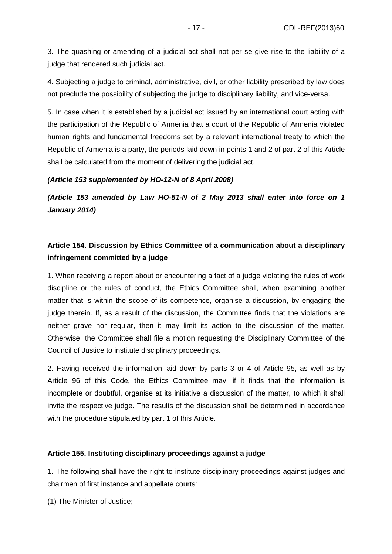3. The quashing or amending of a judicial act shall not per se give rise to the liability of a judge that rendered such judicial act.

4. Subjecting a judge to criminal, administrative, civil, or other liability prescribed by law does not preclude the possibility of subjecting the judge to disciplinary liability, and vice-versa.

5. In case when it is established by a judicial act issued by an international court acting with the participation of the Republic of Armenia that a court of the Republic of Armenia violated human rights and fundamental freedoms set by a relevant international treaty to which the Republic of Armenia is a party, the periods laid down in points 1 and 2 of part 2 of this Article shall be calculated from the moment of delivering the judicial act.

#### **(Article 153 supplemented by HO-12-N of 8 April 2008)**

**(Article 153 amended by Law HO-51-N of 2 May 2013 shall enter into force on 1 January 2014)** 

## **Article 154. Discussion by Ethics Committee of a communication about a disciplinary infringement committed by a judge**

1. When receiving a report about or encountering a fact of a judge violating the rules of work discipline or the rules of conduct, the Ethics Committee shall, when examining another matter that is within the scope of its competence, organise a discussion, by engaging the judge therein. If, as a result of the discussion, the Committee finds that the violations are neither grave nor regular, then it may limit its action to the discussion of the matter. Otherwise, the Committee shall file a motion requesting the Disciplinary Committee of the Council of Justice to institute disciplinary proceedings.

2. Having received the information laid down by parts 3 or 4 of Article 95, as well as by Article 96 of this Code, the Ethics Committee may, if it finds that the information is incomplete or doubtful, organise at its initiative a discussion of the matter, to which it shall invite the respective judge. The results of the discussion shall be determined in accordance with the procedure stipulated by part 1 of this Article.

#### **Article 155. Instituting disciplinary proceedings against a judge**

1. The following shall have the right to institute disciplinary proceedings against judges and chairmen of first instance and appellate courts:

(1) The Minister of Justice;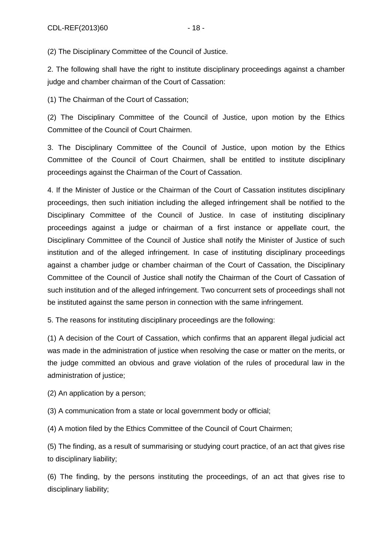(2) The Disciplinary Committee of the Council of Justice.

2. The following shall have the right to institute disciplinary proceedings against a chamber judge and chamber chairman of the Court of Cassation:

(1) The Chairman of the Court of Cassation;

(2) The Disciplinary Committee of the Council of Justice, upon motion by the Ethics Committee of the Council of Court Chairmen.

3. The Disciplinary Committee of the Council of Justice, upon motion by the Ethics Committee of the Council of Court Chairmen, shall be entitled to institute disciplinary proceedings against the Chairman of the Court of Cassation.

4. If the Minister of Justice or the Chairman of the Court of Cassation institutes disciplinary proceedings, then such initiation including the alleged infringement shall be notified to the Disciplinary Committee of the Council of Justice. In case of instituting disciplinary proceedings against a judge or chairman of a first instance or appellate court, the Disciplinary Committee of the Council of Justice shall notify the Minister of Justice of such institution and of the alleged infringement. In case of instituting disciplinary proceedings against a chamber judge or chamber chairman of the Court of Cassation, the Disciplinary Committee of the Council of Justice shall notify the Chairman of the Court of Cassation of such institution and of the alleged infringement. Two concurrent sets of proceedings shall not be instituted against the same person in connection with the same infringement.

5. The reasons for instituting disciplinary proceedings are the following:

(1) A decision of the Court of Cassation, which confirms that an apparent illegal judicial act was made in the administration of justice when resolving the case or matter on the merits, or the judge committed an obvious and grave violation of the rules of procedural law in the administration of justice;

(2) An application by a person;

(3) A communication from a state or local government body or official;

(4) A motion filed by the Ethics Committee of the Council of Court Chairmen;

(5) The finding, as a result of summarising or studying court practice, of an act that gives rise to disciplinary liability;

(6) The finding, by the persons instituting the proceedings, of an act that gives rise to disciplinary liability;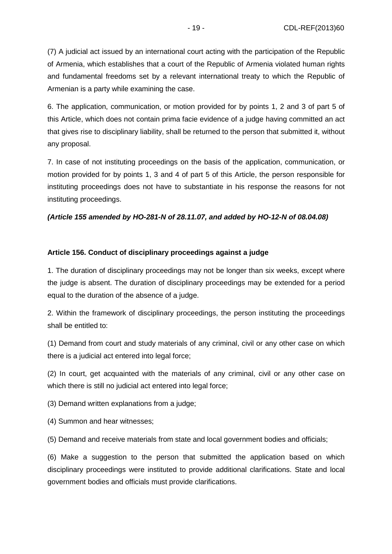(7) A judicial act issued by an international court acting with the participation of the Republic of Armenia, which establishes that a court of the Republic of Armenia violated human rights and fundamental freedoms set by a relevant international treaty to which the Republic of Armenian is a party while examining the case.

6. The application, communication, or motion provided for by points 1, 2 and 3 of part 5 of this Article, which does not contain prima facie evidence of a judge having committed an act that gives rise to disciplinary liability, shall be returned to the person that submitted it, without any proposal.

7. In case of not instituting proceedings on the basis of the application, communication, or motion provided for by points 1, 3 and 4 of part 5 of this Article, the person responsible for instituting proceedings does not have to substantiate in his response the reasons for not instituting proceedings.

### **(Article 155 amended by HO-281-N of 28.11.07, and added by HO-12-N of 08.04.08)**

#### **Article 156. Conduct of disciplinary proceedings against a judge**

1. The duration of disciplinary proceedings may not be longer than six weeks, except where the judge is absent. The duration of disciplinary proceedings may be extended for a period equal to the duration of the absence of a judge.

2. Within the framework of disciplinary proceedings, the person instituting the proceedings shall be entitled to:

(1) Demand from court and study materials of any criminal, civil or any other case on which there is a judicial act entered into legal force;

(2) In court, get acquainted with the materials of any criminal, civil or any other case on which there is still no judicial act entered into legal force;

(3) Demand written explanations from a judge;

(4) Summon and hear witnesses;

(5) Demand and receive materials from state and local government bodies and officials;

(6) Make a suggestion to the person that submitted the application based on which disciplinary proceedings were instituted to provide additional clarifications. State and local government bodies and officials must provide clarifications.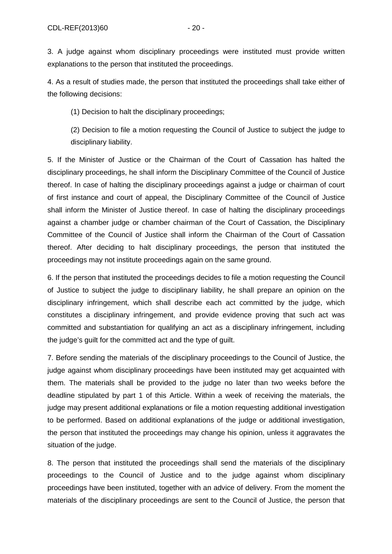4. As a result of studies made, the person that instituted the proceedings shall take either of the following decisions:

(1) Decision to halt the disciplinary proceedings;

(2) Decision to file a motion requesting the Council of Justice to subject the judge to disciplinary liability.

5. If the Minister of Justice or the Chairman of the Court of Cassation has halted the disciplinary proceedings, he shall inform the Disciplinary Committee of the Council of Justice thereof. In case of halting the disciplinary proceedings against a judge or chairman of court of first instance and court of appeal, the Disciplinary Committee of the Council of Justice shall inform the Minister of Justice thereof. In case of halting the disciplinary proceedings against a chamber judge or chamber chairman of the Court of Cassation, the Disciplinary Committee of the Council of Justice shall inform the Chairman of the Court of Cassation thereof. After deciding to halt disciplinary proceedings, the person that instituted the proceedings may not institute proceedings again on the same ground.

6. If the person that instituted the proceedings decides to file a motion requesting the Council of Justice to subject the judge to disciplinary liability, he shall prepare an opinion on the disciplinary infringement, which shall describe each act committed by the judge, which constitutes a disciplinary infringement, and provide evidence proving that such act was committed and substantiation for qualifying an act as a disciplinary infringement, including the judge's guilt for the committed act and the type of guilt.

7. Before sending the materials of the disciplinary proceedings to the Council of Justice, the judge against whom disciplinary proceedings have been instituted may get acquainted with them. The materials shall be provided to the judge no later than two weeks before the deadline stipulated by part 1 of this Article. Within a week of receiving the materials, the judge may present additional explanations or file a motion requesting additional investigation to be performed. Based on additional explanations of the judge or additional investigation, the person that instituted the proceedings may change his opinion, unless it aggravates the situation of the judge.

8. The person that instituted the proceedings shall send the materials of the disciplinary proceedings to the Council of Justice and to the judge against whom disciplinary proceedings have been instituted, together with an advice of delivery. From the moment the materials of the disciplinary proceedings are sent to the Council of Justice, the person that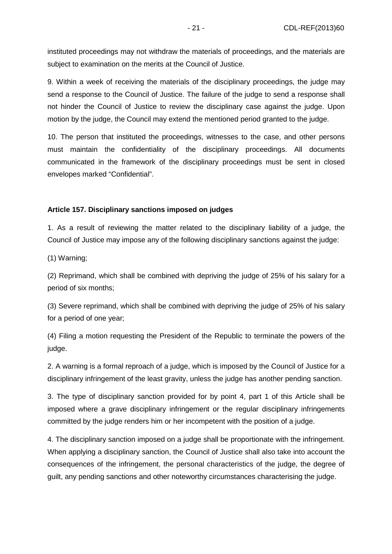instituted proceedings may not withdraw the materials of proceedings, and the materials are subject to examination on the merits at the Council of Justice.

9. Within a week of receiving the materials of the disciplinary proceedings, the judge may send a response to the Council of Justice. The failure of the judge to send a response shall not hinder the Council of Justice to review the disciplinary case against the judge. Upon motion by the judge, the Council may extend the mentioned period granted to the judge.

10. The person that instituted the proceedings, witnesses to the case, and other persons must maintain the confidentiality of the disciplinary proceedings. All documents communicated in the framework of the disciplinary proceedings must be sent in closed envelopes marked "Confidential".

#### **Article 157. Disciplinary sanctions imposed on judges**

1. As a result of reviewing the matter related to the disciplinary liability of a judge, the Council of Justice may impose any of the following disciplinary sanctions against the judge:

(1) Warning;

(2) Reprimand, which shall be combined with depriving the judge of 25% of his salary for a period of six months;

(3) Severe reprimand, which shall be combined with depriving the judge of 25% of his salary for a period of one year;

(4) Filing a motion requesting the President of the Republic to terminate the powers of the judge.

2. A warning is a formal reproach of a judge, which is imposed by the Council of Justice for a disciplinary infringement of the least gravity, unless the judge has another pending sanction.

3. The type of disciplinary sanction provided for by point 4, part 1 of this Article shall be imposed where a grave disciplinary infringement or the regular disciplinary infringements committed by the judge renders him or her incompetent with the position of a judge.

4. The disciplinary sanction imposed on a judge shall be proportionate with the infringement. When applying a disciplinary sanction, the Council of Justice shall also take into account the consequences of the infringement, the personal characteristics of the judge, the degree of guilt, any pending sanctions and other noteworthy circumstances characterising the judge.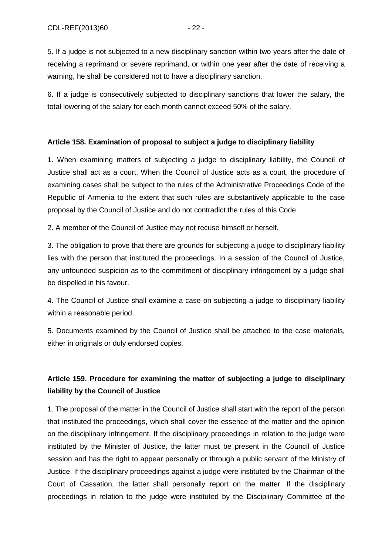5. If a judge is not subjected to a new disciplinary sanction within two years after the date of receiving a reprimand or severe reprimand, or within one year after the date of receiving a warning, he shall be considered not to have a disciplinary sanction.

6. If a judge is consecutively subjected to disciplinary sanctions that lower the salary, the total lowering of the salary for each month cannot exceed 50% of the salary.

#### **Article 158. Examination of proposal to subject a judge to disciplinary liability**

1. When examining matters of subjecting a judge to disciplinary liability, the Council of Justice shall act as a court. When the Council of Justice acts as a court, the procedure of examining cases shall be subject to the rules of the Administrative Proceedings Code of the Republic of Armenia to the extent that such rules are substantively applicable to the case proposal by the Council of Justice and do not contradict the rules of this Code.

2. A member of the Council of Justice may not recuse himself or herself.

3. The obligation to prove that there are grounds for subjecting a judge to disciplinary liability lies with the person that instituted the proceedings. In a session of the Council of Justice, any unfounded suspicion as to the commitment of disciplinary infringement by a judge shall be dispelled in his favour.

4. The Council of Justice shall examine a case on subjecting a judge to disciplinary liability within a reasonable period.

5. Documents examined by the Council of Justice shall be attached to the case materials, either in originals or duly endorsed copies.

# **Article 159. Procedure for examining the matter of subjecting a judge to disciplinary liability by the Council of Justice**

1. The proposal of the matter in the Council of Justice shall start with the report of the person that instituted the proceedings, which shall cover the essence of the matter and the opinion on the disciplinary infringement. If the disciplinary proceedings in relation to the judge were instituted by the Minister of Justice, the latter must be present in the Council of Justice session and has the right to appear personally or through a public servant of the Ministry of Justice. If the disciplinary proceedings against a judge were instituted by the Chairman of the Court of Cassation, the latter shall personally report on the matter. If the disciplinary proceedings in relation to the judge were instituted by the Disciplinary Committee of the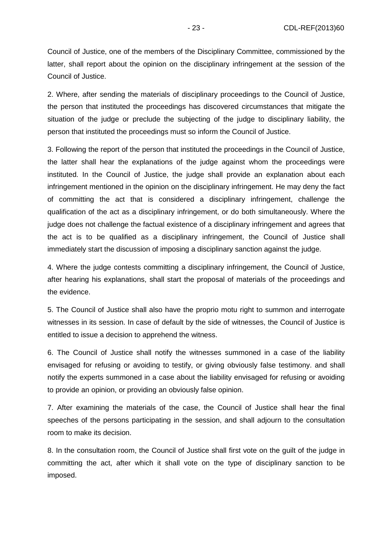Council of Justice, one of the members of the Disciplinary Committee, commissioned by the latter, shall report about the opinion on the disciplinary infringement at the session of the Council of Justice.

2. Where, after sending the materials of disciplinary proceedings to the Council of Justice, the person that instituted the proceedings has discovered circumstances that mitigate the situation of the judge or preclude the subjecting of the judge to disciplinary liability, the person that instituted the proceedings must so inform the Council of Justice.

3. Following the report of the person that instituted the proceedings in the Council of Justice, the latter shall hear the explanations of the judge against whom the proceedings were instituted. In the Council of Justice, the judge shall provide an explanation about each infringement mentioned in the opinion on the disciplinary infringement. He may deny the fact of committing the act that is considered a disciplinary infringement, challenge the qualification of the act as a disciplinary infringement, or do both simultaneously. Where the judge does not challenge the factual existence of a disciplinary infringement and agrees that the act is to be qualified as a disciplinary infringement, the Council of Justice shall immediately start the discussion of imposing a disciplinary sanction against the judge.

4. Where the judge contests committing a disciplinary infringement, the Council of Justice, after hearing his explanations, shall start the proposal of materials of the proceedings and the evidence.

5. The Council of Justice shall also have the proprio motu right to summon and interrogate witnesses in its session. In case of default by the side of witnesses, the Council of Justice is entitled to issue a decision to apprehend the witness.

6. The Council of Justice shall notify the witnesses summoned in a case of the liability envisaged for refusing or avoiding to testify, or giving obviously false testimony. and shall notify the experts summoned in a case about the liability envisaged for refusing or avoiding to provide an opinion, or providing an obviously false opinion.

7. After examining the materials of the case, the Council of Justice shall hear the final speeches of the persons participating in the session, and shall adjourn to the consultation room to make its decision.

8. In the consultation room, the Council of Justice shall first vote on the guilt of the judge in committing the act, after which it shall vote on the type of disciplinary sanction to be imposed.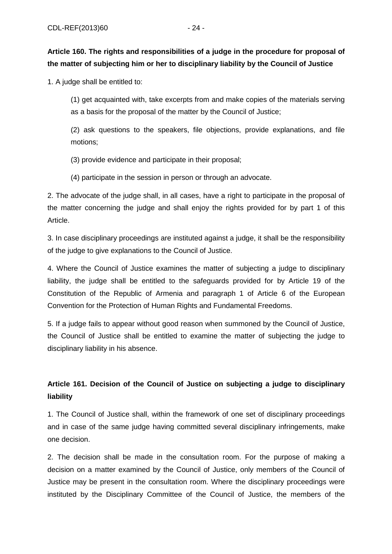# **Article 160. The rights and responsibilities of a judge in the procedure for proposal of the matter of subjecting him or her to disciplinary liability by the Council of Justice**

1. A judge shall be entitled to:

(1) get acquainted with, take excerpts from and make copies of the materials serving as a basis for the proposal of the matter by the Council of Justice;

(2) ask questions to the speakers, file objections, provide explanations, and file motions;

(3) provide evidence and participate in their proposal;

(4) participate in the session in person or through an advocate.

2. The advocate of the judge shall, in all cases, have a right to participate in the proposal of the matter concerning the judge and shall enjoy the rights provided for by part 1 of this Article.

3. In case disciplinary proceedings are instituted against a judge, it shall be the responsibility of the judge to give explanations to the Council of Justice.

4. Where the Council of Justice examines the matter of subjecting a judge to disciplinary liability, the judge shall be entitled to the safeguards provided for by Article 19 of the Constitution of the Republic of Armenia and paragraph 1 of Article 6 of the European Convention for the Protection of Human Rights and Fundamental Freedoms.

5. If a judge fails to appear without good reason when summoned by the Council of Justice, the Council of Justice shall be entitled to examine the matter of subjecting the judge to disciplinary liability in his absence.

# **Article 161. Decision of the Council of Justice on subjecting a judge to disciplinary liability**

1. The Council of Justice shall, within the framework of one set of disciplinary proceedings and in case of the same judge having committed several disciplinary infringements, make one decision.

2. The decision shall be made in the consultation room. For the purpose of making a decision on a matter examined by the Council of Justice, only members of the Council of Justice may be present in the consultation room. Where the disciplinary proceedings were instituted by the Disciplinary Committee of the Council of Justice, the members of the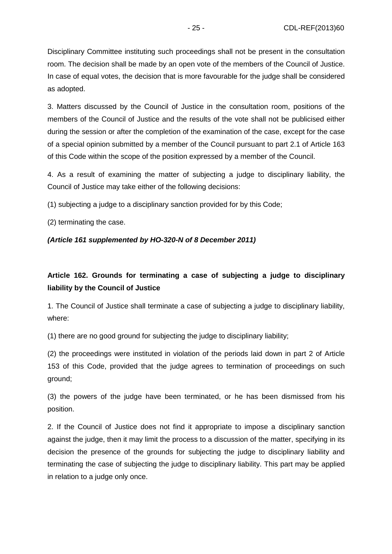Disciplinary Committee instituting such proceedings shall not be present in the consultation room. The decision shall be made by an open vote of the members of the Council of Justice. In case of equal votes, the decision that is more favourable for the judge shall be considered as adopted.

3. Matters discussed by the Council of Justice in the consultation room, positions of the members of the Council of Justice and the results of the vote shall not be publicised either during the session or after the completion of the examination of the case, except for the case of a special opinion submitted by a member of the Council pursuant to part 2.1 of Article 163 of this Code within the scope of the position expressed by a member of the Council.

4. As a result of examining the matter of subjecting a judge to disciplinary liability, the Council of Justice may take either of the following decisions:

(1) subjecting a judge to a disciplinary sanction provided for by this Code;

(2) terminating the case.

### **(Article 161 supplemented by HO-320-N of 8 December 2011)**

# **Article 162. Grounds for terminating a case of subjecting a judge to disciplinary liability by the Council of Justice**

1. The Council of Justice shall terminate a case of subjecting a judge to disciplinary liability, where:

(1) there are no good ground for subjecting the judge to disciplinary liability;

(2) the proceedings were instituted in violation of the periods laid down in part 2 of Article 153 of this Code, provided that the judge agrees to termination of proceedings on such ground;

(3) the powers of the judge have been terminated, or he has been dismissed from his position.

2. If the Council of Justice does not find it appropriate to impose a disciplinary sanction against the judge, then it may limit the process to a discussion of the matter, specifying in its decision the presence of the grounds for subjecting the judge to disciplinary liability and terminating the case of subjecting the judge to disciplinary liability. This part may be applied in relation to a judge only once.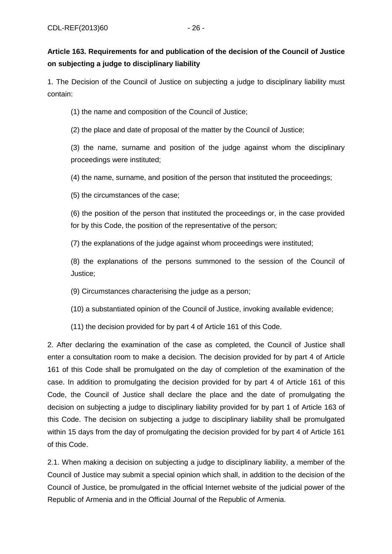# **Article 163. Requirements for and publication of the decision of the Council of Justice on subjecting a judge to disciplinary liability**

1. The Decision of the Council of Justice on subjecting a judge to disciplinary liability must contain:

(1) the name and composition of the Council of Justice;

(2) the place and date of proposal of the matter by the Council of Justice;

(3) the name, surname and position of the judge against whom the disciplinary proceedings were instituted;

(4) the name, surname, and position of the person that instituted the proceedings;

(5) the circumstances of the case;

(6) the position of the person that instituted the proceedings or, in the case provided for by this Code, the position of the representative of the person;

(7) the explanations of the judge against whom proceedings were instituted;

(8) the explanations of the persons summoned to the session of the Council of Justice;

(9) Circumstances characterising the judge as a person;

(10) a substantiated opinion of the Council of Justice, invoking available evidence;

(11) the decision provided for by part 4 of Article 161 of this Code.

2. After declaring the examination of the case as completed, the Council of Justice shall enter a consultation room to make a decision. The decision provided for by part 4 of Article 161 of this Code shall be promulgated on the day of completion of the examination of the case. In addition to promulgating the decision provided for by part 4 of Article 161 of this Code, the Council of Justice shall declare the place and the date of promulgating the decision on subjecting a judge to disciplinary liability provided for by part 1 of Article 163 of this Code. The decision on subjecting a judge to disciplinary liability shall be promulgated within 15 days from the day of promulgating the decision provided for by part 4 of Article 161 of this Code.

2.1. When making a decision on subjecting a judge to disciplinary liability, a member of the Council of Justice may submit a special opinion which shall, in addition to the decision of the Council of Justice, be promulgated in the official Internet website of the judicial power of the Republic of Armenia and in the Official Journal of the Republic of Armenia.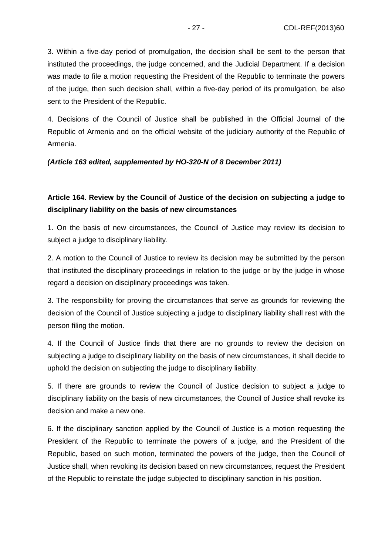3. Within a five-day period of promulgation, the decision shall be sent to the person that instituted the proceedings, the judge concerned, and the Judicial Department. If a decision was made to file a motion requesting the President of the Republic to terminate the powers of the judge, then such decision shall, within a five-day period of its promulgation, be also sent to the President of the Republic.

4. Decisions of the Council of Justice shall be published in the Official Journal of the Republic of Armenia and on the official website of the judiciary authority of the Republic of Armenia.

#### **(Article 163 edited, supplemented by HO-320-N of 8 December 2011)**

## **Article 164. Review by the Council of Justice of the decision on subjecting a judge to disciplinary liability on the basis of new circumstances**

1. On the basis of new circumstances, the Council of Justice may review its decision to subject a judge to disciplinary liability.

2. A motion to the Council of Justice to review its decision may be submitted by the person that instituted the disciplinary proceedings in relation to the judge or by the judge in whose regard a decision on disciplinary proceedings was taken.

3. The responsibility for proving the circumstances that serve as grounds for reviewing the decision of the Council of Justice subjecting a judge to disciplinary liability shall rest with the person filing the motion.

4. If the Council of Justice finds that there are no grounds to review the decision on subjecting a judge to disciplinary liability on the basis of new circumstances, it shall decide to uphold the decision on subjecting the judge to disciplinary liability.

5. If there are grounds to review the Council of Justice decision to subject a judge to disciplinary liability on the basis of new circumstances, the Council of Justice shall revoke its decision and make a new one.

6. If the disciplinary sanction applied by the Council of Justice is a motion requesting the President of the Republic to terminate the powers of a judge, and the President of the Republic, based on such motion, terminated the powers of the judge, then the Council of Justice shall, when revoking its decision based on new circumstances, request the President of the Republic to reinstate the judge subjected to disciplinary sanction in his position.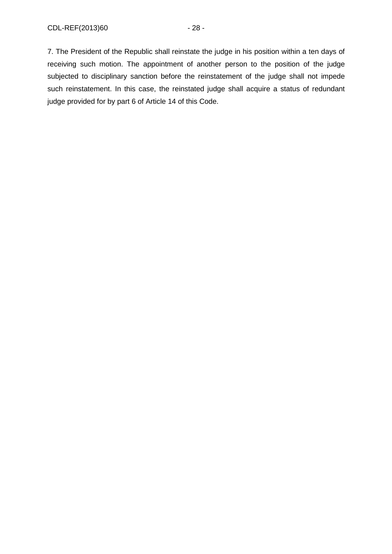7. The President of the Republic shall reinstate the judge in his position within a ten days of receiving such motion. The appointment of another person to the position of the judge subjected to disciplinary sanction before the reinstatement of the judge shall not impede such reinstatement. In this case, the reinstated judge shall acquire a status of redundant judge provided for by part 6 of Article 14 of this Code.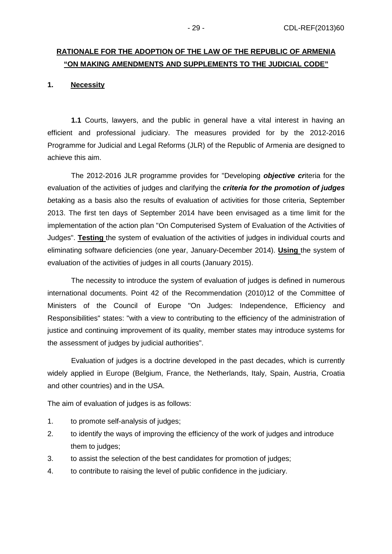# **RATIONALE FOR THE ADOPTION OF THE LAW OF THE REPUBLIC OF ARMENIA "ON MAKING AMENDMENTS AND SUPPLEMENTS TO THE JUDICIAL CODE"**

#### **1. Necessity**

**1.1** Courts, lawyers, and the public in general have a vital interest in having an efficient and professional judiciary. The measures provided for by the 2012-2016 Programme for Judicial and Legal Reforms (JLR) of the Republic of Armenia are designed to achieve this aim.

The 2012-2016 JLR programme provides for "Developing **objective cr**iteria for the evaluation of the activities of judges and clarifying the **criteria for the promotion of judges** betaking as a basis also the results of evaluation of activities for those criteria, September 2013. The first ten days of September 2014 have been envisaged as a time limit for the implementation of the action plan "On Computerised System of Evaluation of the Activities of Judges". **Testing** the system of evaluation of the activities of judges in individual courts and eliminating software deficiencies (one year, January-December 2014). **Using** the system of evaluation of the activities of judges in all courts (January 2015).

The necessity to introduce the system of evaluation of judges is defined in numerous international documents. Point 42 of the Recommendation (2010)12 of the Committee of Ministers of the Council of Europe "On Judges: Independence, Efficiency and Responsibilities" states: "with a view to contributing to the efficiency of the administration of justice and continuing improvement of its quality, member states may introduce systems for the assessment of judges by judicial authorities".

Evaluation of judges is a doctrine developed in the past decades, which is currently widely applied in Europe (Belgium, France, the Netherlands, Italy, Spain, Austria, Croatia and other countries) and in the USA.

The aim of evaluation of judges is as follows:

- 1. to promote self-analysis of judges;
- 2. to identify the ways of improving the efficiency of the work of judges and introduce them to judges;
- 3. to assist the selection of the best candidates for promotion of judges;
- 4. to contribute to raising the level of public confidence in the judiciary.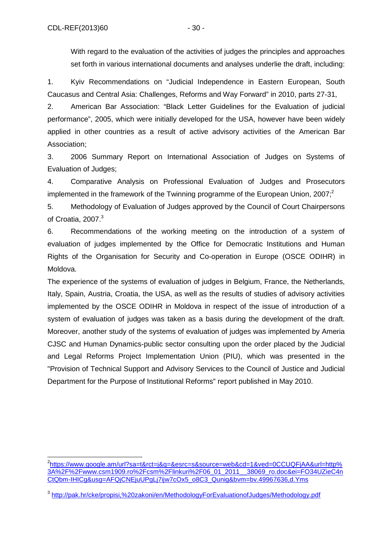1. Kyiv Recommendations on "Judicial Independence in Eastern European, South Caucasus and Central Asia: Challenges, Reforms and Way Forward" in 2010, parts 27-31,

2. American Bar Association: "Black Letter Guidelines for the Evaluation of judicial performance", 2005, which were initially developed for the USA, however have been widely applied in other countries as a result of active advisory activities of the American Bar Association;

3. 2006 Summary Report on International Association of Judges on Systems of Evaluation of Judges;

4. Comparative Analysis on Professional Evaluation of Judges and Prosecutors implemented in the framework of the Twinning programme of the European Union, 2007; $2$ 

5. Methodology of Evaluation of Judges approved by the Council of Court Chairpersons of Croatia, 2007.<sup>3</sup>

6. Recommendations of the working meeting on the introduction of a system of evaluation of judges implemented by the Office for Democratic Institutions and Human Rights of the Organisation for Security and Co-operation in Europe (OSCE ODIHR) in Moldova.

The experience of the systems of evaluation of judges in Belgium, France, the Netherlands, Italy, Spain, Austria, Croatia, the USA, as well as the results of studies of advisory activities implemented by the OSCE ODIHR in Moldova in respect of the issue of introduction of a system of evaluation of judges was taken as a basis during the development of the draft. Moreover, another study of the systems of evaluation of judges was implemented by Ameria CJSC and Human Dynamics-public sector consulting upon the order placed by the Judicial and Legal Reforms Project Implementation Union (PIU), which was presented in the "Provision of Technical Support and Advisory Services to the Council of Justice and Judicial Department for the Purpose of Institutional Reforms" report published in May 2010.

 $\overline{\phantom{a}}$ 2 https://www.google.am/url?sa=t&rct=j&q=&esrc=s&source=web&cd=1&ved=0CCUQFjAA&url=http% 3A%2F%2Fwww.csm1909.ro%2Fcsm%2Flinkuri%2F06\_01\_2011\_\_38069\_ro.doc&ei=FO34UZieC4n CtQbm-IHICg&usg=AFQjCNEjuUPgLj7ijw7cOx5\_o8C3\_Qunig&bvm=bv.49967636,d.Yms

<sup>&</sup>lt;sup>3</sup> http://pak.hr/cke/propisi,%20zakoni/en/MethodologyForEvaluationofJudges/Methodology.pdf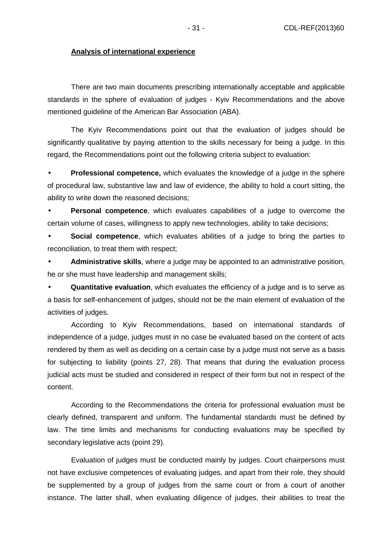#### **Analysis of international experience**

There are two main documents prescribing internationally acceptable and applicable standards in the sphere of evaluation of judges - Kyiv Recommendations and the above mentioned guideline of the American Bar Association (ABA).

The Kyiv Recommendations point out that the evaluation of judges should be significantly qualitative by paying attention to the skills necessary for being a judge. In this regard, the Recommendations point out the following criteria subject to evaluation:

• **Professional competence,** which evaluates the knowledge of a judge in the sphere of procedural law, substantive law and law of evidence, the ability to hold a court sitting, the ability to write down the reasoned decisions;

• **Personal competence**, which evaluates capabilities of a judge to overcome the certain volume of cases, willingness to apply new technologies, ability to take decisions;

• **Social competence**, which evaluates abilities of a judge to bring the parties to reconciliation, to treat them with respect;

• **Administrative skills**, where a judge may be appointed to an administrative position, he or she must have leadership and management skills;

• **Quantitative evaluation**, which evaluates the efficiency of a judge and is to serve as a basis for self-enhancement of judges, should not be the main element of evaluation of the activities of judges.

According to Kyiv Recommendations, based on international standards of independence of a judge, judges must in no case be evaluated based on the content of acts rendered by them as well as deciding on a certain case by a judge must not serve as a basis for subjecting to liability (points 27, 28). That means that during the evaluation process judicial acts must be studied and considered in respect of their form but not in respect of the content.

According to the Recommendations the criteria for professional evaluation must be clearly defined, transparent and uniform. The fundamental standards must be defined by law. The time limits and mechanisms for conducting evaluations may be specified by secondary legislative acts (point 29).

Evaluation of judges must be conducted mainly by judges. Court chairpersons must not have exclusive competences of evaluating judges, and apart from their role, they should be supplemented by a group of judges from the same court or from a court of another instance. The latter shall, when evaluating diligence of judges, their abilities to treat the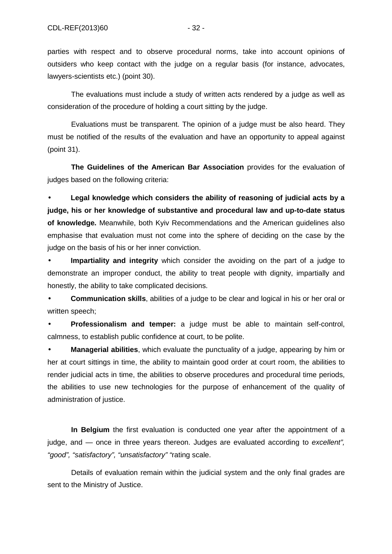parties with respect and to observe procedural norms, take into account opinions of outsiders who keep contact with the judge on a regular basis (for instance, advocates, lawyers-scientists etc.) (point 30).

The evaluations must include a study of written acts rendered by a judge as well as consideration of the procedure of holding a court sitting by the judge.

Evaluations must be transparent. The opinion of a judge must be also heard. They must be notified of the results of the evaluation and have an opportunity to appeal against (point 31).

**The Guidelines of the American Bar Association** provides for the evaluation of judges based on the following criteria:

• **Legal knowledge which considers the ability of reasoning of judicial acts by a judge, his or her knowledge of substantive and procedural law and up-to-date status of knowledge.** Meanwhile, both Kyiv Recommendations and the American guidelines also emphasise that evaluation must not come into the sphere of deciding on the case by the judge on the basis of his or her inner conviction.

• **Impartiality and integrity** which consider the avoiding on the part of a judge to demonstrate an improper conduct, the ability to treat people with dignity, impartially and honestly, the ability to take complicated decisions.

• **Communication skills**, abilities of a judge to be clear and logical in his or her oral or written speech;

• **Professionalism and temper:** a judge must be able to maintain self-control, calmness, to establish public confidence at court, to be polite.

• **Managerial abilities**, which evaluate the punctuality of a judge, appearing by him or her at court sittings in time, the ability to maintain good order at court room, the abilities to render judicial acts in time, the abilities to observe procedures and procedural time periods, the abilities to use new technologies for the purpose of enhancement of the quality of administration of justice.

**In Belgium** the first evaluation is conducted one year after the appointment of a judge, and — once in three years thereon. Judges are evaluated according to excellent", "good", "satisfactory", "unsatisfactory" "rating scale.

Details of evaluation remain within the judicial system and the only final grades are sent to the Ministry of Justice.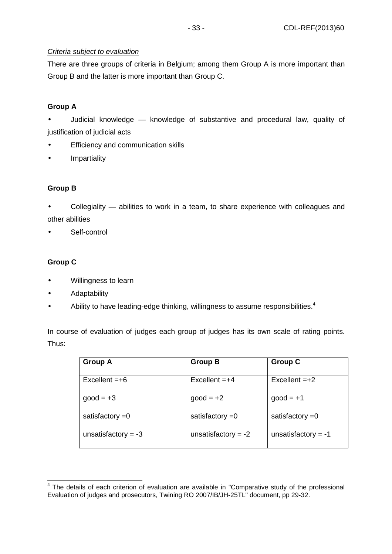### Criteria subject to evaluation

There are three groups of criteria in Belgium; among them Group A is more important than Group B and the latter is more important than Group C.

## **Group A**

• Judicial knowledge — knowledge of substantive and procedural law, quality of justification of judicial acts

- Efficiency and communication skills
- Impartiality

## **Group B**

• Collegiality — abilities to work in a team, to share experience with colleagues and other abilities

Self-control

## **Group C**

- Willingness to learn
- Adaptability
- Ability to have leading-edge thinking, willingness to assume responsibilities.<sup>4</sup>

In course of evaluation of judges each group of judges has its own scale of rating points. Thus:

| <b>Group A</b>        | <b>Group B</b>        | <b>Group C</b>        |
|-----------------------|-----------------------|-----------------------|
| $Excellent = +6$      | $Excellent = +4$      | $Excellent = +2$      |
| $good = +3$           | $good = +2$           | $good = +1$           |
| satisfactory $=0$     | satisfactory $=0$     | satisfactory $=0$     |
| unsatisfactory = $-3$ | unsatisfactory = $-2$ | unsatisfactory $= -1$ |

**EXECTS 2018**<br><sup>4</sup> The details of each criterion of evaluation are available in "Comparative study of the professional Evaluation of judges and prosecutors, Twining RO 2007/IB/JH-25TL" document, pp 29-32.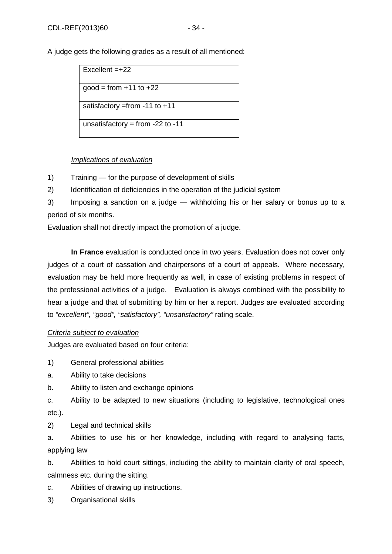A judge gets the following grades as a result of all mentioned:

| $Excellent = +22$                 |
|-----------------------------------|
| $good = from +11 to +22$          |
| satisfactory = from - 11 to $+11$ |
| unsatisfactory = from -22 to -11  |

## Implications of evaluation

1) Training — for the purpose of development of skills

2) Identification of deficiencies in the operation of the judicial system

3) Imposing a sanction on a judge — withholding his or her salary or bonus up to a period of six months.

Evaluation shall not directly impact the promotion of a judge.

**In France** evaluation is conducted once in two years. Evaluation does not cover only judges of a court of cassation and chairpersons of a court of appeals. Where necessary, evaluation may be held more frequently as well, in case of existing problems in respect of the professional activities of a judge. Evaluation is always combined with the possibility to hear a judge and that of submitting by him or her a report. Judges are evaluated according to "excellent", "good", "satisfactory", "unsatisfactory" rating scale.

## Criteria subject to evaluation

Judges are evaluated based on four criteria:

1) General professional abilities

a. Ability to take decisions

b. Ability to listen and exchange opinions

c. Ability to be adapted to new situations (including to legislative, technological ones etc.).

2) Legal and technical skills

a. Abilities to use his or her knowledge, including with regard to analysing facts, applying law

b. Abilities to hold court sittings, including the ability to maintain clarity of oral speech, calmness etc. during the sitting.

c. Abilities of drawing up instructions.

3) Organisational skills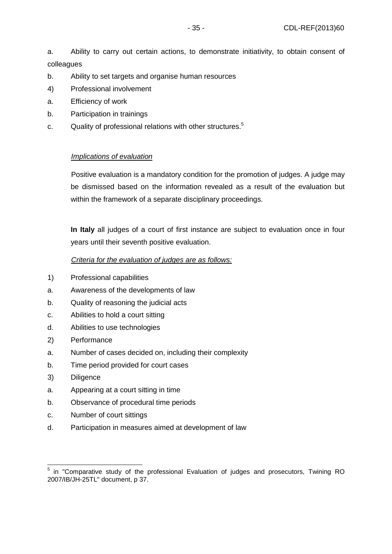a. Ability to carry out certain actions, to demonstrate initiativity, to obtain consent of colleagues

- b. Ability to set targets and organise human resources
- 4) Professional involvement
- a. Efficiency of work
- b. Participation in trainings
- c. Quality of professional relations with other structures.<sup>5</sup>

## Implications of evaluation

Positive evaluation is a mandatory condition for the promotion of judges. A judge may be dismissed based on the information revealed as a result of the evaluation but within the framework of a separate disciplinary proceedings.

**In Italy** all judges of a court of first instance are subject to evaluation once in four years until their seventh positive evaluation.

### Criteria for the evaluation of judges are as follows:

- 1) Professional capabilities
- a. Awareness of the developments of law
- b. Quality of reasoning the judicial acts
- c. Abilities to hold a court sitting
- d. Abilities to use technologies
- 2) Performance
- a. Number of cases decided on, including their complexity
- b. Time period provided for court cases
- 3) Diligence
- a. Appearing at a court sitting in time
- b. Observance of procedural time periods
- c. Number of court sittings
- d. Participation in measures aimed at development of law

 <sup>5</sup> in "Comparative study of the professional Evaluation of judges and prosecutors, Twining RO 2007/IB/JH-25TL" document, p 37.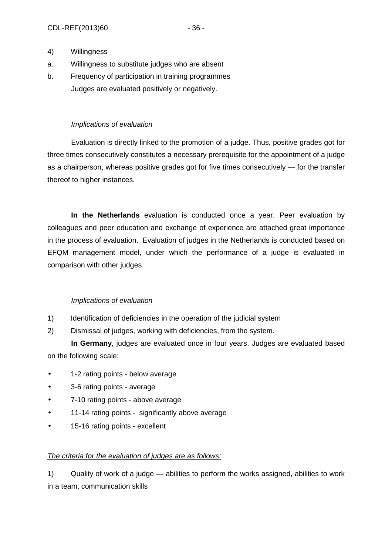- 4) Willingness
- a. Willingness to substitute judges who are absent
- b. Frequency of participation in training programmes Judges are evaluated positively or negatively.

### Implications of evaluation

Evaluation is directly linked to the promotion of a judge. Thus, positive grades got for three times consecutively constitutes a necessary prerequisite for the appointment of a judge as a chairperson, whereas positive grades got for five times consecutively — for the transfer thereof to higher instances.

**In the Netherlands** evaluation is conducted once a year. Peer evaluation by colleagues and peer education and exchange of experience are attached great importance in the process of evaluation. Evaluation of judges in the Netherlands is conducted based on EFQM management model, under which the performance of a judge is evaluated in comparison with other judges.

## Implications of evaluation

- 1) Identification of deficiencies in the operation of the judicial system
- 2) Dismissal of judges, working with deficiencies, from the system.

**In Germany**, judges are evaluated once in four years. Judges are evaluated based on the following scale:

- 1-2 rating points below average
- 3-6 rating points average
- 7-10 rating points above average
- 11-14 rating points significantly above average
- 15-16 rating points excellent

#### The criteria for the evaluation of judges are as follows:

1) Quality of work of a judge — abilities to perform the works assigned, abilities to work in a team, communication skills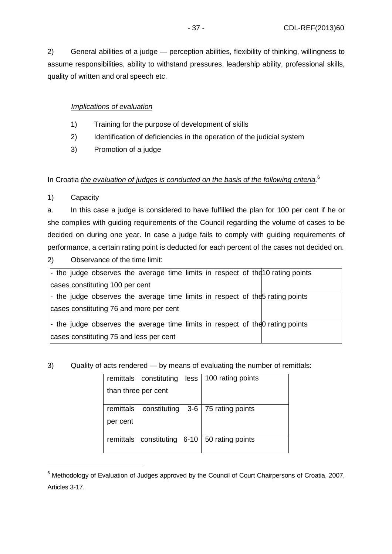2) General abilities of a judge — perception abilities, flexibility of thinking, willingness to assume responsibilities, ability to withstand pressures, leadership ability, professional skills, quality of written and oral speech etc.

## Implications of evaluation

- 1) Training for the purpose of development of skills
- 2) Identification of deficiencies in the operation of the judicial system
- 3) Promotion of a judge

## In Croatia the evaluation of judges is conducted on the basis of the following criteria. $6$

1) Capacity

 $\overline{a}$ 

a. In this case a judge is considered to have fulfilled the plan for 100 per cent if he or she complies with guiding requirements of the Council regarding the volume of cases to be decided on during one year. In case a judge fails to comply with guiding requirements of performance, a certain rating point is deducted for each percent of the cases not decided on.

2) Observance of the time limit:

| - the judge observes the average time limits in respect of the 10 rating points      |  |
|--------------------------------------------------------------------------------------|--|
| cases constituting 100 per cent                                                      |  |
| $\vdash$ the judge observes the average time limits in respect of the prating points |  |
| cases constituting 76 and more per cent                                              |  |
| $\vdash$ the judge observes the average time limits in respect of the orating points |  |
| cases constituting 75 and less per cent                                              |  |

## 3) Quality of acts rendered — by means of evaluating the number of remittals:

|                     | remittals constituting less | 100 rating points                              |
|---------------------|-----------------------------|------------------------------------------------|
| than three per cent |                             |                                                |
|                     |                             |                                                |
|                     |                             | remittals constituting 3-6   75 rating points  |
| per cent            |                             |                                                |
|                     |                             |                                                |
|                     |                             | remittals constituting 6-10   50 rating points |
|                     |                             |                                                |

 $6$  Methodology of Evaluation of Judges approved by the Council of Court Chairpersons of Croatia, 2007, Articles 3-17.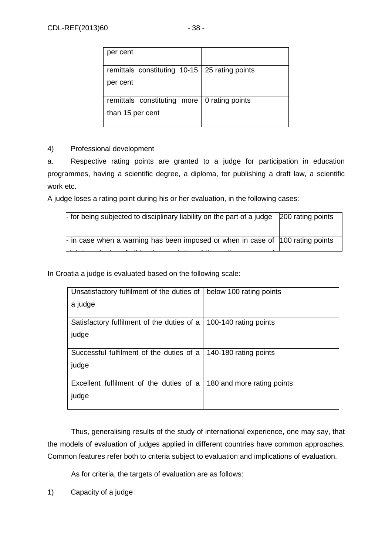| per cent                                          |  |
|---------------------------------------------------|--|
| remittals constituting $10-15$   25 rating points |  |
| per cent                                          |  |
| remittals constituting more   0 rating points     |  |
| than 15 per cent                                  |  |

### 4) Professional development

a. Respective rating points are granted to a judge for participation in education programmes, having a scientific degree, a diploma, for publishing a draft law, a scientific work etc.

A judge loses a rating point during his or her evaluation, in the following cases:

| $\vdash$ in case when a warning has been imposed or when in case of 100 rating points | $\frac{1}{2}$ for being subjected to disciplinary liability on the part of a judge 200 rating points |
|---------------------------------------------------------------------------------------|------------------------------------------------------------------------------------------------------|
|                                                                                       |                                                                                                      |

In Croatia a judge is evaluated based on the following scale:

| Unsatisfactory fulfilment of the duties of | below 100 rating points    |
|--------------------------------------------|----------------------------|
| a judge                                    |                            |
|                                            |                            |
| Satisfactory fulfilment of the duties of a | 100-140 rating points      |
| judge                                      |                            |
|                                            |                            |
| Successful fulfilment of the duties of a   | 140-180 rating points      |
| judge                                      |                            |
|                                            |                            |
| Excellent fulfilment of the duties of a    | 180 and more rating points |
| judge                                      |                            |
|                                            |                            |

Thus, generalising results of the study of international experience, one may say, that the models of evaluation of judges applied in different countries have common approaches. Common features refer both to criteria subject to evaluation and implications of evaluation.

As for criteria, the targets of evaluation are as follows:

1) Capacity of a judge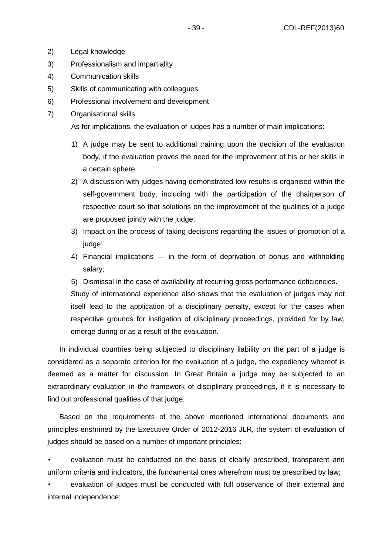- 2) Legal knowledge
- 3) Professionalism and impartiality
- 4) Communication skills
- 5) Skills of communicating with colleagues
- 6) Professional involvement and development
- 7) Organisational skills

As for implications, the evaluation of judges has a number of main implications:

- 1) A judge may be sent to additional training upon the decision of the evaluation body, if the evaluation proves the need for the improvement of his or her skills in a certain sphere
- 2) A discussion with judges having demonstrated low results is organised within the self-government body, including with the participation of the chairperson of respective court so that solutions on the improvement of the qualities of a judge are proposed jointly with the judge;
- 3) Impact on the process of taking decisions regarding the issues of promotion of a judge;
- 4) Financial implications in the form of deprivation of bonus and withholding salary;
- 5) Dismissal in the case of availability of recurring gross performance deficiencies.

Study of international experience also shows that the evaluation of judges may not itself lead to the application of a disciplinary penalty, except for the cases when respective grounds for instigation of disciplinary proceedings, provided for by law, emerge during or as a result of the evaluation.

In individual countries being subjected to disciplinary liability on the part of a judge is considered as a separate criterion for the evaluation of a judge, the expediency whereof is deemed as a matter for discussion. In Great Britain a judge may be subjected to an extraordinary evaluation in the framework of disciplinary proceedings, if it is necessary to find out professional qualities of that judge.

Based on the requirements of the above mentioned international documents and principles enshrined by the Executive Order of 2012-2016 JLR, the system of evaluation of judges should be based on a number of important principles:

• evaluation must be conducted on the basis of clearly prescribed, transparent and uniform criteria and indicators, the fundamental ones wherefrom must be prescribed by law;

• evaluation of judges must be conducted with full observance of their external and internal independence;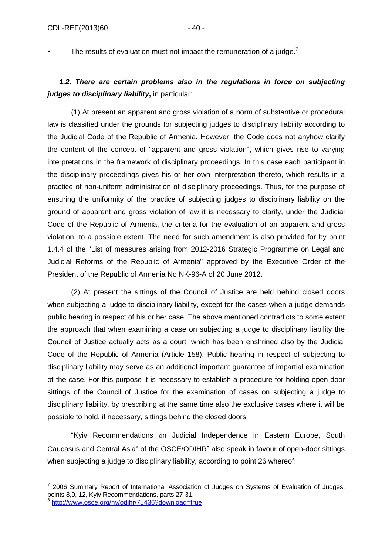• The results of evaluation must not impact the remuneration of a judge.<sup>7</sup>

# **1.2. There are certain problems also in the regulations in force on subjecting judges to disciplinary liability,** in particular:

(1) At present an apparent and gross violation of a norm of substantive or procedural law is classified under the grounds for subjecting judges to disciplinary liability according to the Judicial Code of the Republic of Armenia. However, the Code does not anyhow clarify the content of the concept of "apparent and gross violation", which gives rise to varying interpretations in the framework of disciplinary proceedings. In this case each participant in the disciplinary proceedings gives his or her own interpretation thereto, which results in a practice of non-uniform administration of disciplinary proceedings. Thus, for the purpose of ensuring the uniformity of the practice of subjecting judges to disciplinary liability on the ground of apparent and gross violation of law it is necessary to clarify, under the Judicial Code of the Republic of Armenia, the criteria for the evaluation of an apparent and gross violation, to a possible extent. The need for such amendment is also provided for by point 1.4.4 of the "List of measures arising from 2012-2016 Strategic Programme on Legal and Judicial Reforms of the Republic of Armenia" approved by the Executive Order of the President of the Republic of Armenia No NK-96-A of 20 June 2012.

(2) At present the sittings of the Council of Justice are held behind closed doors when subjecting a judge to disciplinary liability, except for the cases when a judge demands public hearing in respect of his or her case. The above mentioned contradicts to some extent the approach that when examining a case on subjecting a judge to disciplinary liability the Council of Justice actually acts as a court, which has been enshrined also by the Judicial Code of the Republic of Armenia (Article 158). Public hearing in respect of subjecting to disciplinary liability may serve as an additional important guarantee of impartial examination of the case. For this purpose it is necessary to establish a procedure for holding open-door sittings of the Council of Justice for the examination of cases on subjecting a judge to disciplinary liability, by prescribing at the same time also the exclusive cases where it will be possible to hold, if necessary, sittings behind the closed doors.

"Kyiv Recommendations օn Judicial Independence in Eastern Europe, South Caucasus and Central Asia" of the OSCE/ODIHR $^8$  also speak in favour of open-door sittings when subjecting a judge to disciplinary liability, according to point 26 whereof:

<sup>7</sup> 2006 Summary Report of International Association of Judges on Systems of Evaluation of Judges, points 8,9, 12, Kyiv Recommendations, parts 27-31.<br><sup>8</sup> http://www.cass.org/by/odibr/754363download-tr

http://www.osce.org/hy/odihr/75436?download=true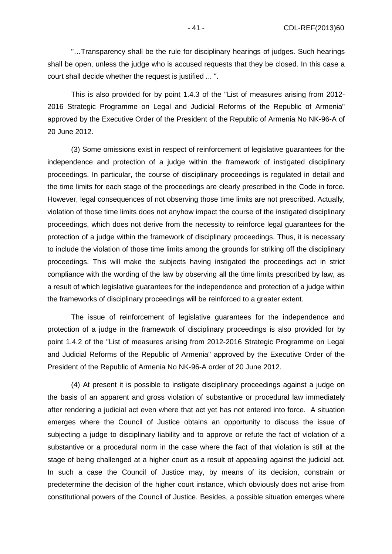"…Transparency shall be the rule for disciplinary hearings of judges. Such hearings shall be open, unless the judge who is accused requests that they be closed. In this case a court shall decide whether the request is justified ... ".

This is also provided for by point 1.4.3 of the "List of measures arising from 2012- 2016 Strategic Programme on Legal and Judicial Reforms of the Republic of Armenia" approved by the Executive Order of the President of the Republic of Armenia No NK-96-A of 20 June 2012.

(3) Some omissions exist in respect of reinforcement of legislative guarantees for the independence and protection of a judge within the framework of instigated disciplinary proceedings. In particular, the course of disciplinary proceedings is regulated in detail and the time limits for each stage of the proceedings are clearly prescribed in the Code in force. However, legal consequences of not observing those time limits are not prescribed. Actually, violation of those time limits does not anyhow impact the course of the instigated disciplinary proceedings, which does not derive from the necessity to reinforce legal guarantees for the protection of a judge within the framework of disciplinary proceedings. Thus, it is necessary to include the violation of those time limits among the grounds for striking off the disciplinary proceedings. This will make the subjects having instigated the proceedings act in strict compliance with the wording of the law by observing all the time limits prescribed by law, as a result of which legislative guarantees for the independence and protection of a judge within the frameworks of disciplinary proceedings will be reinforced to a greater extent.

The issue of reinforcement of legislative guarantees for the independence and protection of a judge in the framework of disciplinary proceedings is also provided for by point 1.4.2 of the "List of measures arising from 2012-2016 Strategic Programme on Legal and Judicial Reforms of the Republic of Armenia" approved by the Executive Order of the President of the Republic of Armenia No NK-96-A order of 20 June 2012.

(4) At present it is possible to instigate disciplinary proceedings against a judge on the basis of an apparent and gross violation of substantive or procedural law immediately after rendering a judicial act even where that act yet has not entered into force. A situation emerges where the Council of Justice obtains an opportunity to discuss the issue of subjecting a judge to disciplinary liability and to approve or refute the fact of violation of a substantive or a procedural norm in the case where the fact of that violation is still at the stage of being challenged at a higher court as a result of appealing against the judicial act. In such a case the Council of Justice may, by means of its decision, constrain or predetermine the decision of the higher court instance, which obviously does not arise from constitutional powers of the Council of Justice. Besides, a possible situation emerges where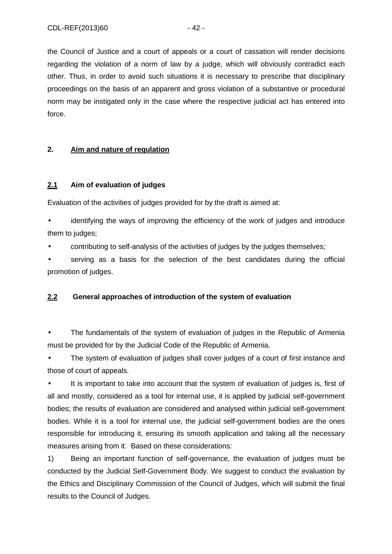the Council of Justice and a court of appeals or a court of cassation will render decisions regarding the violation of a norm of law by a judge, which will obviously contradict each other. Thus, in order to avoid such situations it is necessary to prescribe that disciplinary proceedings on the basis of an apparent and gross violation of a substantive or procedural norm may be instigated only in the case where the respective judicial act has entered into force.

### **2. Aim and nature of regulation**

### **2.1 Aim of evaluation of judges**

Evaluation of the activities of judges provided for by the draft is aimed at:

• identifying the ways of improving the efficiency of the work of judges and introduce them to judges;

• contributing to self-analysis of the activities of judges by the judges themselves;

• serving as a basis for the selection of the best candidates during the official promotion of judges.

## **2.2 General approaches of introduction of the system of evaluation**

The fundamentals of the system of evaluation of judges in the Republic of Armenia must be provided for by the Judicial Code of the Republic of Armenia.

The system of evaluation of judges shall cover judges of a court of first instance and those of court of appeals.

• It is important to take into account that the system of evaluation of judges is, first of all and mostly, considered as a tool for internal use, it is applied by judicial self-government bodies; the results of evaluation are considered and analysed within judicial self-government bodies. While it is a tool for internal use, the judicial self-government bodies are the ones responsible for introducing it, ensuring its smooth application and taking all the necessary measures arising from it. Based on these considerations:

1) Being an important function of self-governance, the evaluation of judges must be conducted by the Judicial Self-Government Body. We suggest to conduct the evaluation by the Ethics and Disciplinary Commission of the Council of Judges, which will submit the final results to the Council of Judges.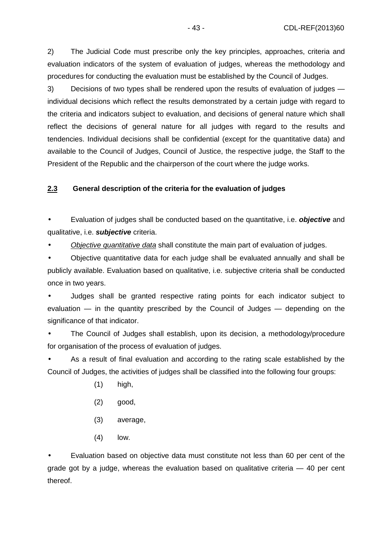2) The Judicial Code must prescribe only the key principles, approaches, criteria and evaluation indicators of the system of evaluation of judges, whereas the methodology and procedures for conducting the evaluation must be established by the Council of Judges.

3) Decisions of two types shall be rendered upon the results of evaluation of judges individual decisions which reflect the results demonstrated by a certain judge with regard to the criteria and indicators subject to evaluation, and decisions of general nature which shall reflect the decisions of general nature for all judges with regard to the results and tendencies. Individual decisions shall be confidential (except for the quantitative data) and available to the Council of Judges, Council of Justice, the respective judge, the Staff to the President of the Republic and the chairperson of the court where the judge works.

## **2.3 General description of the criteria for the evaluation of judges**

• Evaluation of judges shall be conducted based on the quantitative, i.e. **objective** and qualitative, i.e. **subjective** criteria.

• Objective quantitative data shall constitute the main part of evaluation of judges.

• Objective quantitative data for each judge shall be evaluated annually and shall be publicly available. Evaluation based on qualitative, i.e. subjective criteria shall be conducted once in two years.

• Judges shall be granted respective rating points for each indicator subject to evaluation — in the quantity prescribed by the Council of Judges — depending on the significance of that indicator.

• The Council of Judges shall establish, upon its decision, a methodology/procedure for organisation of the process of evaluation of judges.

As a result of final evaluation and according to the rating scale established by the Council of Judges, the activities of judges shall be classified into the following four groups:

- (1) high,
- (2) good,
- (3) average,
- (4) low.

• Evaluation based on objective data must constitute not less than 60 per cent of the grade got by a judge, whereas the evaluation based on qualitative criteria  $-40$  per cent thereof.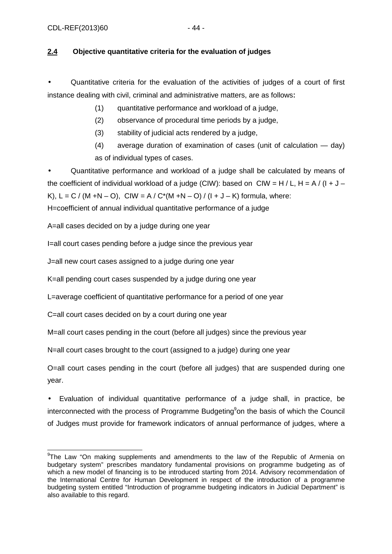## **2.4 Objective quantitative criteria for the evaluation of judges**

• Quantitative criteria for the evaluation of the activities of judges of a court of first instance dealing with civil, criminal and administrative matters, are as follows։

(1) quantitative performance and workload of a judge,

(2) observance of procedural time periods by a judge,

(3) stability of judicial acts rendered by a judge,

(4) average duration of examination of cases (unit of calculation — day) as of individual types of cases.

• Quantitative performance and workload of a judge shall be calculated by means of the coefficient of individual workload of a judge (CIW): based on CIW = H / L, H = A / (I + J – K),  $L = C / (M + N - O)$ , CIW = A / C<sup>\*</sup>(M + N - O) / (I + J - K) formula, where:

H=coefficient of annual individual quantitative performance of a judge

A=all cases decided on by a judge during one year

I=all court cases pending before a judge since the previous year

J=all new court cases assigned to a judge during one year

K=all pending court cases suspended by a judge during one year

L=average coefficient of quantitative performance for a period of one year

C=all court cases decided on by a court during one year

M=all court cases pending in the court (before all judges) since the previous year

N=all court cases brought to the court (assigned to a judge) during one year

O=all court cases pending in the court (before all judges) that are suspended during one year.

• Evaluation of individual quantitative performance of a judge shall, in practice, be interconnected with the process of Programme Budgeting<sup>9</sup>on the basis of which the Council of Judges must provide for framework indicators of annual performance of judges, where a

<sup>&</sup>lt;sup>9</sup>The Law "On making supplements and amendments to the law of the Republic of Armenia on budgetary system" prescribes mandatory fundamental provisions on programme budgeting as of which a new model of financing is to be introduced starting from 2014. Advisory recommendation of the International Centre for Human Development in respect of the introduction of a programme budgeting system entitled "Introduction of programme budgeting indicators in Judicial Department" is also available to this regard.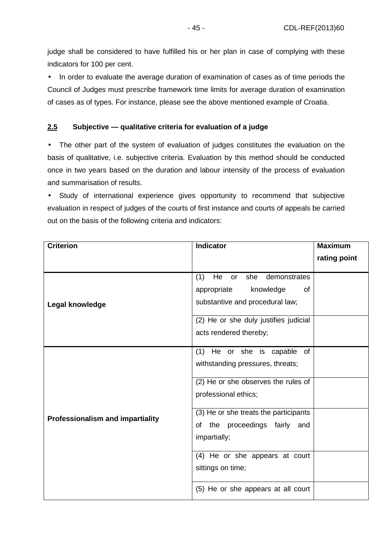judge shall be considered to have fulfilled his or her plan in case of complying with these indicators for 100 per cent.

• In order to evaluate the average duration of examination of cases as of time periods the Council of Judges must prescribe framework time limits for average duration of examination of cases as of types. For instance, please see the above mentioned example of Croatia.

### **2.5 Subjective — qualitative criteria for evaluation of a judge**

• The other part of the system of evaluation of judges constitutes the evaluation on the basis of qualitative, i.e. subjective criteria. Evaluation by this method should be conducted once in two years based on the duration and labour intensity of the process of evaluation and summarisation of results.

• Study of international experience gives opportunity to recommend that subjective evaluation in respect of judges of the courts of first instance and courts of appeals be carried out on the basis of the following criteria and indicators:

| <b>Criterion</b>                 | Indicator                                                                                                                                                                      | <b>Maximum</b> |
|----------------------------------|--------------------------------------------------------------------------------------------------------------------------------------------------------------------------------|----------------|
|                                  |                                                                                                                                                                                | rating point   |
| Legal knowledge                  | (1)<br>He<br>she<br>demonstrates<br>or<br>knowledge<br>appropriate<br>of<br>substantive and procedural law;<br>(2) He or she duly justifies judicial<br>acts rendered thereby; |                |
|                                  | (1) He or she is capable of<br>withstanding pressures, threats;                                                                                                                |                |
| Professionalism and impartiality | (2) He or she observes the rules of<br>professional ethics;                                                                                                                    |                |
|                                  | (3) He or she treats the participants<br>of the proceedings fairly and<br>impartially;                                                                                         |                |
|                                  | (4) He or she appears at court<br>sittings on time;                                                                                                                            |                |
|                                  | (5) He or she appears at all court                                                                                                                                             |                |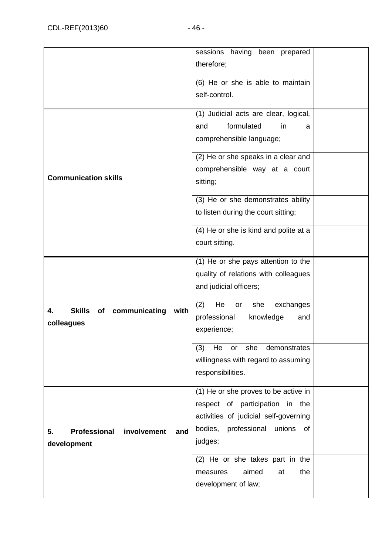|                                                                | sessions having been prepared<br>therefore;                                                                                                                               |  |
|----------------------------------------------------------------|---------------------------------------------------------------------------------------------------------------------------------------------------------------------------|--|
|                                                                | (6) He or she is able to maintain<br>self-control.                                                                                                                        |  |
|                                                                | (1) Judicial acts are clear, logical,<br>formulated<br>and<br>in<br>a<br>comprehensible language;                                                                         |  |
| <b>Communication skills</b>                                    | (2) He or she speaks in a clear and<br>comprehensible way at a court<br>sitting;                                                                                          |  |
|                                                                | (3) He or she demonstrates ability<br>to listen during the court sitting;                                                                                                 |  |
|                                                                | (4) He or she is kind and polite at a<br>court sitting.                                                                                                                   |  |
|                                                                | (1) He or she pays attention to the<br>quality of relations with colleagues<br>and judicial officers;                                                                     |  |
| <b>Skills</b><br>of communicating<br>with<br>4.<br>colleagues  | (2)<br>He<br>she<br>exchanges<br>or<br>professional<br>knowledge<br>and<br>experience;                                                                                    |  |
|                                                                | (3)<br>He<br>she<br>demonstrates<br>or<br>willingness with regard to assuming<br>responsibilities.                                                                        |  |
| <b>Professional</b><br>involvement<br>5.<br>and<br>development | (1) He or she proves to be active in<br>respect of participation in<br>the<br>activities of judicial self-governing<br>bodies,<br>professional<br>unions<br>0f<br>judges; |  |
|                                                                | (2) He or she takes part in the<br>aimed<br>the<br>measures<br>at<br>development of law;                                                                                  |  |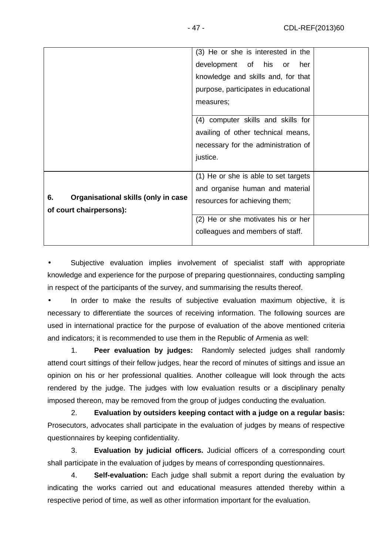|                                           | (3) He or she is interested in the   |  |
|-------------------------------------------|--------------------------------------|--|
|                                           | development of his or<br>her         |  |
|                                           | knowledge and skills and, for that   |  |
|                                           | purpose, participates in educational |  |
|                                           | measures;                            |  |
|                                           |                                      |  |
|                                           | (4) computer skills and skills for   |  |
|                                           | availing of other technical means,   |  |
|                                           | necessary for the administration of  |  |
|                                           | justice.                             |  |
|                                           |                                      |  |
|                                           | (1) He or she is able to set targets |  |
|                                           | and organise human and material      |  |
| 6.<br>Organisational skills (only in case | resources for achieving them;        |  |
| of court chairpersons):                   |                                      |  |
|                                           | (2) He or she motivates his or her   |  |
|                                           | colleagues and members of staff.     |  |
|                                           |                                      |  |

Subjective evaluation implies involvement of specialist staff with appropriate knowledge and experience for the purpose of preparing questionnaires, conducting sampling in respect of the participants of the survey, and summarising the results thereof.

• In order to make the results of subjective evaluation maximum objective, it is necessary to differentiate the sources of receiving information. The following sources are used in international practice for the purpose of evaluation of the above mentioned criteria and indicators; it is recommended to use them in the Republic of Armenia as well:

1. **Peer evaluation by judges:** Randomly selected judges shall randomly attend court sittings of their fellow judges, hear the record of minutes of sittings and issue an opinion on his or her professional qualities. Another colleague will look through the acts rendered by the judge. The judges with low evaluation results or a disciplinary penalty imposed thereon, may be removed from the group of judges conducting the evaluation.

2. **Evaluation by outsiders keeping contact with a judge on a regular basis:**  Prosecutors, advocates shall participate in the evaluation of judges by means of respective questionnaires by keeping confidentiality.

3. **Evaluation by judicial officers.** Judicial officers of a corresponding court shall participate in the evaluation of judges by means of corresponding questionnaires.

4. **Self-evaluation:** Each judge shall submit a report during the evaluation by indicating the works carried out and educational measures attended thereby within a respective period of time, as well as other information important for the evaluation.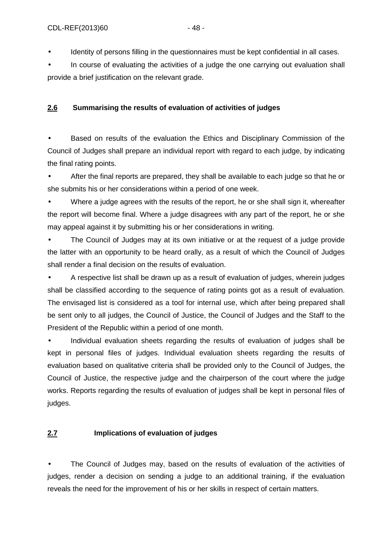Identity of persons filling in the questionnaires must be kept confidential in all cases.

• In course of evaluating the activities of a judge the one carrying out evaluation shall provide a brief justification on the relevant grade.

## **2.6 Summarising the results of evaluation of activities of judges**

• Based on results of the evaluation the Ethics and Disciplinary Commission of the Council of Judges shall prepare an individual report with regard to each judge, by indicating the final rating points.

• After the final reports are prepared, they shall be available to each judge so that he or she submits his or her considerations within a period of one week.

• Where a judge agrees with the results of the report, he or she shall sign it, whereafter the report will become final. Where a judge disagrees with any part of the report, he or she may appeal against it by submitting his or her considerations in writing.

• The Council of Judges may at its own initiative or at the request of a judge provide the latter with an opportunity to be heard orally, as a result of which the Council of Judges shall render a final decision on the results of evaluation.

• A respective list shall be drawn up as a result of evaluation of judges, wherein judges shall be classified according to the sequence of rating points got as a result of evaluation. The envisaged list is considered as a tool for internal use, which after being prepared shall be sent only to all judges, the Council of Justice, the Council of Judges and the Staff to the President of the Republic within a period of one month.

• Individual evaluation sheets regarding the results of evaluation of judges shall be kept in personal files of judges. Individual evaluation sheets regarding the results of evaluation based on qualitative criteria shall be provided only to the Council of Judges, the Council of Justice, the respective judge and the chairperson of the court where the judge works. Reports regarding the results of evaluation of judges shall be kept in personal files of judges.

## **2.7 Implications of evaluation of judges**

The Council of Judges may, based on the results of evaluation of the activities of judges, render a decision on sending a judge to an additional training, if the evaluation reveals the need for the improvement of his or her skills in respect of certain matters.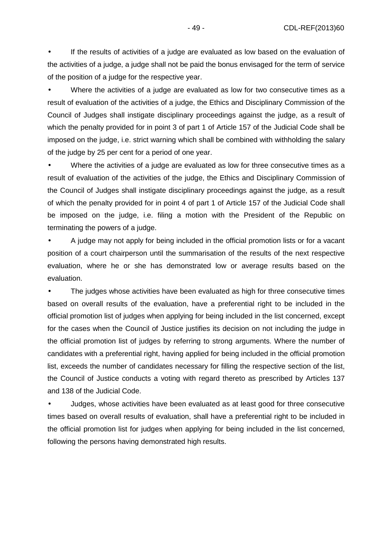If the results of activities of a judge are evaluated as low based on the evaluation of the activities of a judge, a judge shall not be paid the bonus envisaged for the term of service of the position of a judge for the respective year.

• Where the activities of a judge are evaluated as low for two consecutive times as a result of evaluation of the activities of a judge, the Ethics and Disciplinary Commission of the Council of Judges shall instigate disciplinary proceedings against the judge, as a result of which the penalty provided for in point 3 of part 1 of Article 157 of the Judicial Code shall be imposed on the judge, i.e. strict warning which shall be combined with withholding the salary of the judge by 25 per cent for a period of one year.

• Where the activities of a judge are evaluated as low for three consecutive times as a result of evaluation of the activities of the judge, the Ethics and Disciplinary Commission of the Council of Judges shall instigate disciplinary proceedings against the judge, as a result of which the penalty provided for in point 4 of part 1 of Article 157 of the Judicial Code shall be imposed on the judge, i.e. filing a motion with the President of the Republic on terminating the powers of a judge.

• A judge may not apply for being included in the official promotion lists or for a vacant position of a court chairperson until the summarisation of the results of the next respective evaluation, where he or she has demonstrated low or average results based on the evaluation.

The judges whose activities have been evaluated as high for three consecutive times based on overall results of the evaluation, have a preferential right to be included in the official promotion list of judges when applying for being included in the list concerned, except for the cases when the Council of Justice justifies its decision on not including the judge in the official promotion list of judges by referring to strong arguments. Where the number of candidates with a preferential right, having applied for being included in the official promotion list, exceeds the number of candidates necessary for filling the respective section of the list, the Council of Justice conducts a voting with regard thereto as prescribed by Articles 137 and 138 of the Judicial Code.

• Judges, whose activities have been evaluated as at least good for three consecutive times based on overall results of evaluation, shall have a preferential right to be included in the official promotion list for judges when applying for being included in the list concerned, following the persons having demonstrated high results.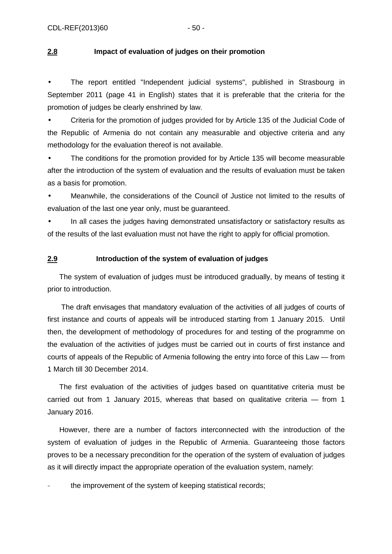#### **2.8 Impact of evaluation of judges on their promotion**

• The report entitled "Independent judicial systems", published in Strasbourg in September 2011 (page 41 in English) states that it is preferable that the criteria for the promotion of judges be clearly enshrined by law.

• Criteria for the promotion of judges provided for by Article 135 of the Judicial Code of the Republic of Armenia do not contain any measurable and objective criteria and any methodology for the evaluation thereof is not available.

• The conditions for the promotion provided for by Article 135 will become measurable after the introduction of the system of evaluation and the results of evaluation must be taken as a basis for promotion.

• Meanwhile, the considerations of the Council of Justice not limited to the results of evaluation of the last one year only, must be guaranteed.

• In all cases the judges having demonstrated unsatisfactory or satisfactory results as of the results of the last evaluation must not have the right to apply for official promotion.

#### **2.9 Introduction of the system of evaluation of judges**

The system of evaluation of judges must be introduced gradually, by means of testing it prior to introduction.

 The draft envisages that mandatory evaluation of the activities of all judges of courts of first instance and courts of appeals will be introduced starting from 1 January 2015. Until then, the development of methodology of procedures for and testing of the programme on the evaluation of the activities of judges must be carried out in courts of first instance and courts of appeals of the Republic of Armenia following the entry into force of this Law — from 1 March till 30 December 2014.

The first evaluation of the activities of judges based on quantitative criteria must be carried out from 1 January 2015, whereas that based on qualitative criteria — from 1 January 2016.

However, there are a number of factors interconnected with the introduction of the system of evaluation of judges in the Republic of Armenia. Guaranteeing those factors proves to be a necessary precondition for the operation of the system of evaluation of judges as it will directly impact the appropriate operation of the evaluation system, namely:

the improvement of the system of keeping statistical records;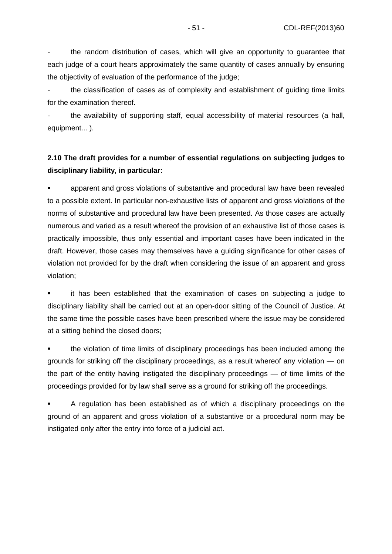the random distribution of cases, which will give an opportunity to guarantee that each judge of a court hears approximately the same quantity of cases annually by ensuring the objectivity of evaluation of the performance of the judge;

the classification of cases as of complexity and establishment of quiding time limits for the examination thereof.

the availability of supporting staff, equal accessibility of material resources (a hall, equipment... ).

## **2.10 The draft provides for a number of essential regulations on subjecting judges to disciplinary liability, in particular:**

 apparent and gross violations of substantive and procedural law have been revealed to a possible extent. In particular non-exhaustive lists of apparent and gross violations of the norms of substantive and procedural law have been presented. As those cases are actually numerous and varied as a result whereof the provision of an exhaustive list of those cases is practically impossible, thus only essential and important cases have been indicated in the draft. However, those cases may themselves have a guiding significance for other cases of violation not provided for by the draft when considering the issue of an apparent and gross violation;

 it has been established that the examination of cases on subjecting a judge to disciplinary liability shall be carried out at an open-door sitting of the Council of Justice. At the same time the possible cases have been prescribed where the issue may be considered at a sitting behind the closed doors;

 the violation of time limits of disciplinary proceedings has been included among the grounds for striking off the disciplinary proceedings, as a result whereof any violation — on the part of the entity having instigated the disciplinary proceedings — of time limits of the proceedings provided for by law shall serve as a ground for striking off the proceedings.

 A regulation has been established as of which a disciplinary proceedings on the ground of an apparent and gross violation of a substantive or a procedural norm may be instigated only after the entry into force of a judicial act.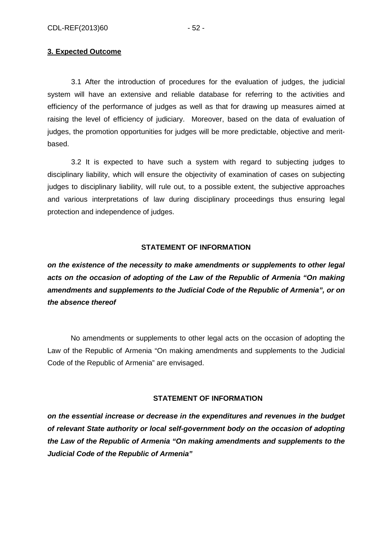#### **3. Expected Outcome**

3.1 After the introduction of procedures for the evaluation of judges, the judicial system will have an extensive and reliable database for referring to the activities and efficiency of the performance of judges as well as that for drawing up measures aimed at raising the level of efficiency of judiciary. Moreover, based on the data of evaluation of judges, the promotion opportunities for judges will be more predictable, objective and meritbased.

3.2 It is expected to have such a system with regard to subjecting judges to disciplinary liability, which will ensure the objectivity of examination of cases on subjecting judges to disciplinary liability, will rule out, to a possible extent, the subjective approaches and various interpretations of law during disciplinary proceedings thus ensuring legal protection and independence of judges.

#### **STATEMENT OF INFORMATION**

**on the existence of the necessity to make amendments or supplements to other legal acts on the occasion of adopting of the Law of the Republic of Armenia "On making amendments and supplements to the Judicial Code of the Republic of Armenia", or on the absence thereof** 

No amendments or supplements to other legal acts on the occasion of adopting the Law of the Republic of Armenia "On making amendments and supplements to the Judicial Code of the Republic of Armenia" are envisaged.

#### **STATEMENT OF INFORMATION**

**on the essential increase or decrease in the expenditures and revenues in the budget of relevant State authority or local self-government body on the occasion of adopting the Law of the Republic of Armenia "On making amendments and supplements to the Judicial Code of the Republic of Armenia"**